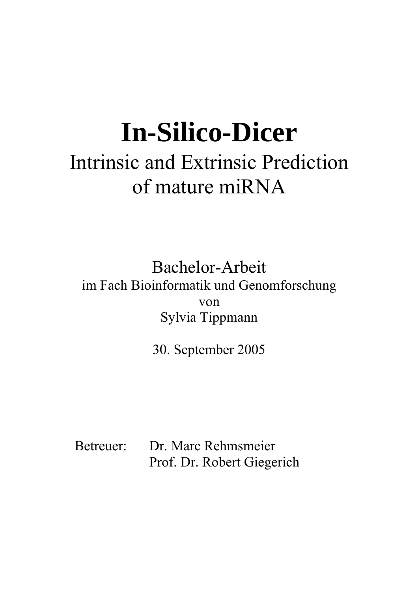# **In-Silico-Dicer**  Intrinsic and Extrinsic Prediction of mature miRNA

Bachelor-Arbeit im Fach Bioinformatik und Genomforschung von Sylvia Tippmann

30. September 2005

Betreuer: Dr. Marc Rehmsmeier Prof. Dr. Robert Giegerich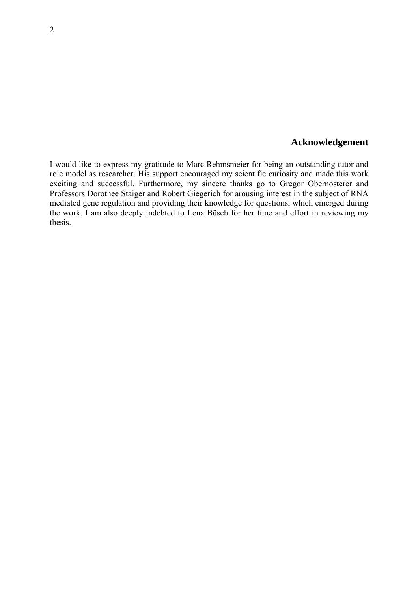#### **Acknowledgement**

I would like to express my gratitude to Marc Rehmsmeier for being an outstanding tutor and role model as researcher. His support encouraged my scientific curiosity and made this work exciting and successful. Furthermore, my sincere thanks go to Gregor Obernosterer and Professors Dorothee Staiger and Robert Giegerich for arousing interest in the subject of RNA mediated gene regulation and providing their knowledge for questions, which emerged during the work. I am also deeply indebted to Lena Büsch for her time and effort in reviewing my thesis.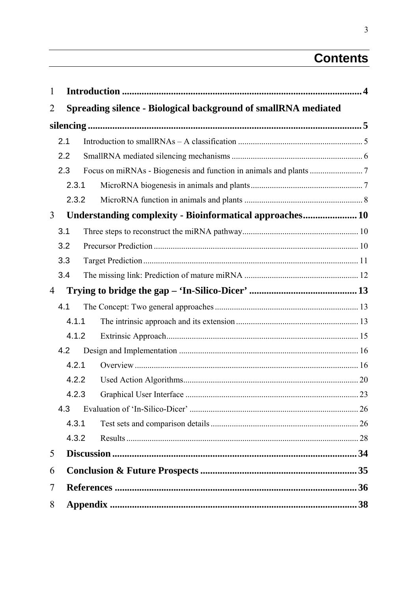## **Contents**

| 1              |       |                                                                |  |
|----------------|-------|----------------------------------------------------------------|--|
| $\overline{2}$ |       | Spreading silence - Biological background of smallRNA mediated |  |
|                |       |                                                                |  |
|                | 2.1   |                                                                |  |
|                | 2.2   |                                                                |  |
|                | 2.3   |                                                                |  |
|                | 2.3.1 |                                                                |  |
|                | 2.3.2 |                                                                |  |
| 3              |       | Understanding complexity - Bioinformatical approaches 10       |  |
|                | 3.1   |                                                                |  |
|                | 3.2   |                                                                |  |
|                | 3.3   |                                                                |  |
|                | 3.4   |                                                                |  |
| 4              |       |                                                                |  |
|                | 4.1   |                                                                |  |
|                | 4.1.1 |                                                                |  |
|                | 4.1.2 |                                                                |  |
|                | 4.2   |                                                                |  |
|                | 4.2.1 |                                                                |  |
|                | 4.2.2 |                                                                |  |
|                | 4.2.3 |                                                                |  |
|                | 4.3   |                                                                |  |
|                | 4.3.1 |                                                                |  |
|                | 4.3.2 |                                                                |  |
| 5              |       |                                                                |  |
| 6              |       |                                                                |  |
| 7              |       |                                                                |  |
| 8              |       |                                                                |  |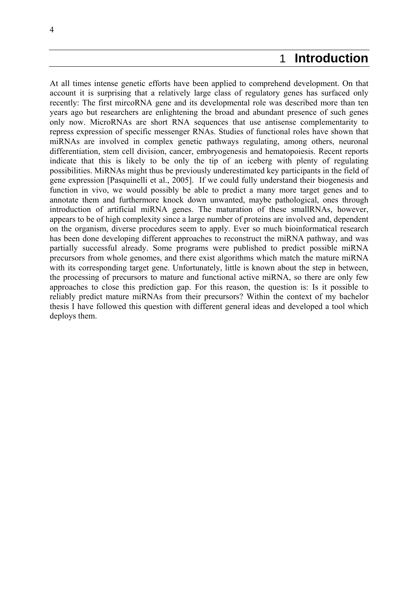## 1 **Introduction**

<span id="page-3-0"></span>At all times intense genetic efforts have been applied to comprehend development. On that account it is surprising that a relatively large class of regulatory genes has surfaced only recently: The first mircoRNA gene and its developmental role was described more than ten years ago but researchers are enlightening the broad and abundant presence of such genes only now. MicroRNAs are short RNA sequences that use antisense complementarity to repress expression of specific messenger RNAs. Studies of functional roles have shown that miRNAs are involved in complex genetic pathways regulating, among others, neuronal differentiation, stem cell division, cancer, embryogenesis and hematopoiesis. Recent reports indicate that this is likely to be only the tip of an iceberg with plenty of regulating possibilities. MiRNAs might thus be previously underestimated key participants in the field of gene expression [Pasquinelli et al., 2005]. If we could fully understand their biogenesis and function in vivo, we would possibly be able to predict a many more target genes and to annotate them and furthermore knock down unwanted, maybe pathological, ones through introduction of artificial miRNA genes. The maturation of these smallRNAs, however, appears to be of high complexity since a large number of proteins are involved and, dependent on the organism, diverse procedures seem to apply. Ever so much bioinformatical research has been done developing different approaches to reconstruct the miRNA pathway, and was partially successful already. Some programs were published to predict possible miRNA precursors from whole genomes, and there exist algorithms which match the mature miRNA with its corresponding target gene. Unfortunately, little is known about the step in between, the processing of precursors to mature and functional active miRNA, so there are only few approaches to close this prediction gap. For this reason, the question is: Is it possible to reliably predict mature miRNAs from their precursors? Within the context of my bachelor thesis I have followed this question with different general ideas and developed a tool which deploys them.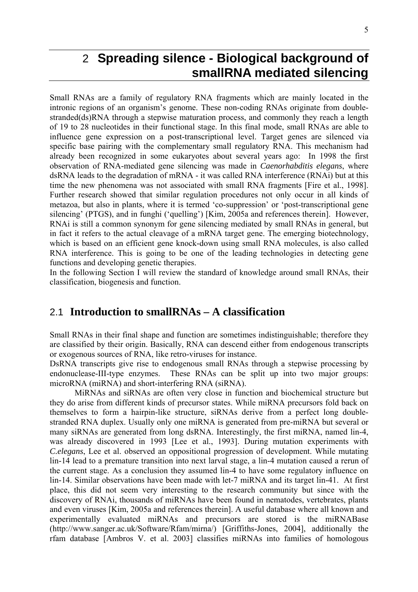## <span id="page-4-0"></span>2 **Spreading silence - Biological background of smallRNA mediated silencing**

Small RNAs are a family of regulatory RNA fragments which are mainly located in the intronic regions of an organism's genome. These non-coding RNAs originate from doublestranded(ds)RNA through a stepwise maturation process, and commonly they reach a length of 19 to 28 nucleotides in their functional stage. In this final mode, small RNAs are able to influence gene expression on a post-transcriptional level. Target genes are silenced via specific base pairing with the complementary small regulatory RNA. This mechanism had already been recognized in some eukaryotes about several years ago: In 1998 the first observation of RNA-mediated gene silencing was made in *Caenorhabditis elegans*, where dsRNA leads to the degradation of mRNA - it was called RNA interference (RNAi) but at this time the new phenomena was not associated with small RNA fragments [Fire et al., 1998]. Further research showed that similar regulation procedures not only occur in all kinds of metazoa, but also in plants, where it is termed 'co-suppression' or 'post-transcriptional gene silencing' (PTGS), and in funghi ('quelling') [Kim, 2005a and references therein]. However, RNAi is still a common synonym for gene silencing mediated by small RNAs in general, but in fact it refers to the actual cleavage of a mRNA target gene. The emerging biotechnology, which is based on an efficient gene knock-down using small RNA molecules, is also called RNA interference. This is going to be one of the leading technologies in detecting gene functions and developing genetic therapies.

In the following Section I will review the standard of knowledge around small RNAs, their classification, biogenesis and function.

## 2.1 **Introduction to smallRNAs – A classification**

Small RNAs in their final shape and function are sometimes indistinguishable; therefore they are classified by their origin. Basically, RNA can descend either from endogenous transcripts or exogenous sources of RNA, like retro-viruses for instance.

DsRNA transcripts give rise to endogenous small RNAs through a stepwise processing by endonuclease-III-type enzymes. These RNAs can be split up into two major groups: microRNA (miRNA) and short-interfering RNA (siRNA).

 MiRNAs and siRNAs are often very close in function and biochemical structure but they do arise from different kinds of precursor states. While miRNA precursors fold back on themselves to form a hairpin-like structure, siRNAs derive from a perfect long doublestranded RNA duplex. Usually only one miRNA is generated from pre-miRNA but several or many siRNAs are generated from long dsRNA. Interestingly, the first miRNA, named lin-4, was already discovered in 1993 [Lee et al., 1993]. During mutation experiments with *C.elegans*, Lee et al. observed an oppositional progression of development. While mutating lin-14 lead to a premature transition into next larval stage, a lin-4 mutation caused a rerun of the current stage. As a conclusion they assumed lin-4 to have some regulatory influence on lin-14. Similar observations have been made with let-7 miRNA and its target lin-41. At first place, this did not seem very interesting to the research community but since with the discovery of RNAi, thousands of miRNAs have been found in nematodes, vertebrates, plants and even viruses [Kim, 2005a and references therein]. A useful database where all known and experimentally evaluated miRNAs and precursors are stored is the miRNABase (http://www.sanger.ac.uk/Software/Rfam/mirna/) [Griffiths-Jones, 2004], additionally the rfam database [Ambros V. et al. 2003] classifies miRNAs into families of homologous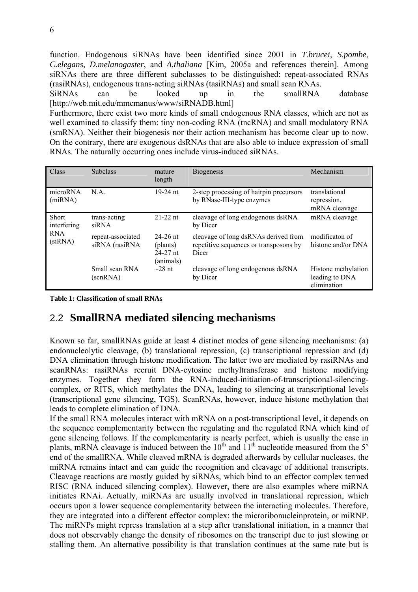<span id="page-5-0"></span>function. Endogenous siRNAs have been identified since 2001 in *T.brucei*, *S.pombe*, *C.elegans*, *D.melanogaster*, and *A.thaliana* [Kim, 2005a and references therein]. Among siRNAs there are three different subclasses to be distinguished: repeat-associated RNAs (rasiRNAs), endogenous trans-acting siRNAs (tasiRNAs) and small scan RNAs.

SiRNAs can be looked up in the smallRNA database [http://web.mit.edu/mmcmanus/www/siRNADB.html]

Furthermore, there exist two more kinds of small endogenous RNA classes, which are not as well examined to classify them: tiny non-coding RNA (tncRNA) and small modulatory RNA (smRNA). Neither their biogenesis nor their action mechanism has become clear up to now. On the contrary, there are exogenous dsRNAs that are also able to induce expression of small RNAs. The naturally occurring ones include virus-induced siRNAs.

| Class                       | <b>Subclass</b>                     | mature<br>length                                    | <b>Biogenesis</b>                                                                       | Mechanism                                            |
|-----------------------------|-------------------------------------|-----------------------------------------------------|-----------------------------------------------------------------------------------------|------------------------------------------------------|
| microRNA<br>(miRNA)         | N.A.                                | $19-24$ nt                                          | 2-step processing of hairpin precursors<br>by RNase-III-type enzymes                    | translational<br>repression,<br>mRNA cleavage        |
| <b>Short</b><br>interfering | trans-acting<br>siRNA               | $21-22$ nt                                          | cleavage of long endogenous dsRNA<br>by Dicer                                           | mRNA cleavage                                        |
| <b>RNA</b><br>(siRNA)       | repeat-associated<br>siRNA (rasiRNA | $24 - 26$ nt<br>(plants)<br>$24-27$ nt<br>(animals) | cleavage of long dsRNAs derived from<br>repetitive sequences or transposons by<br>Dicer | modificaton of<br>histone and/or DNA                 |
|                             | Small scan RNA<br>(scnRNA)          | $\sim$ 28 nt                                        | cleavage of long endogenous dsRNA<br>by Dicer                                           | Histone methylation<br>leading to DNA<br>elimination |

**Table 1: Classification of small RNAs** 

## 2.2 **SmallRNA mediated silencing mechanisms**

Known so far, smallRNAs guide at least 4 distinct modes of gene silencing mechanisms: (a) endonucleolytic cleavage, (b) translational repression, (c) transcriptional repression and (d) DNA elimination through histone modification. The latter two are mediated by rasiRNAs and scanRNAs: rasiRNAs recruit DNA-cytosine methyltransferase and histone modifying enzymes. Together they form the RNA-induced-initiation-of-transcriptional-silencingcomplex, or RITS, which methylates the DNA, leading to silencing at transcriptional levels (transcriptional gene silencing, TGS). ScanRNAs, however, induce histone methylation that leads to complete elimination of DNA.

If the small RNA molecules interact with mRNA on a post-transcriptional level, it depends on the sequence complementarity between the regulating and the regulated RNA which kind of gene silencing follows. If the complementarity is nearly perfect, which is usually the case in plants, mRNA cleavage is induced between the  $10<sup>th</sup>$  and  $11<sup>th</sup>$  nucleotide measured from the 5' end of the smallRNA. While cleaved mRNA is degraded afterwards by cellular nucleases, the miRNA remains intact and can guide the recognition and cleavage of additional transcripts. Cleavage reactions are mostly guided by siRNAs, which bind to an effector complex termed RISC (RNA induced silencing complex). However, there are also examples where miRNA initiates RNAi. Actually, miRNAs are usually involved in translational repression, which occurs upon a lower sequence complementarity between the interacting molecules. Therefore, they are integrated into a different effector complex: the microribonucleinprotein, or miRNP. The miRNPs might repress translation at a step after translational initiation, in a manner that does not observably change the density of ribosomes on the transcript due to just slowing or stalling them. An alternative possibility is that translation continues at the same rate but is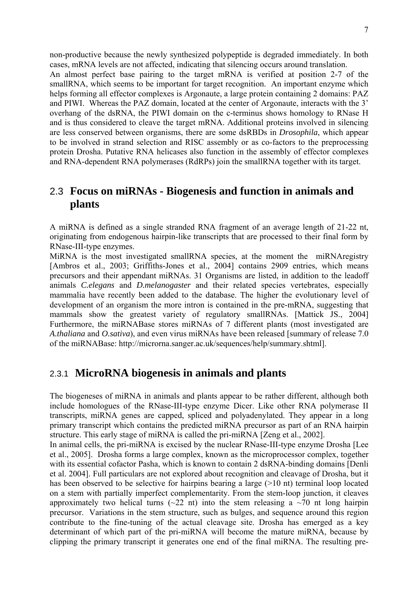<span id="page-6-0"></span>non-productive because the newly synthesized polypeptide is degraded immediately. In both cases, mRNA levels are not affected, indicating that silencing occurs around translation.

An almost perfect base pairing to the target mRNA is verified at position 2-7 of the smallRNA, which seems to be important for target recognition. An important enzyme which helps forming all effector complexes is Argonaute, a large protein containing 2 domains: PAZ and PIWI. Whereas the PAZ domain, located at the center of Argonaute, interacts with the 3' overhang of the dsRNA, the PIWI domain on the c-terminus shows homology to RNase H and is thus considered to cleave the target mRNA. Additional proteins involved in silencing are less conserved between organisms, there are some dsRBDs in *Drosophila*, which appear to be involved in strand selection and RISC assembly or as co-factors to the preprocessing protein Drosha. Putative RNA helicases also function in the assembly of effector complexes and RNA-dependent RNA polymerases (RdRPs) join the smallRNA together with its target.

## 2.3 **Focus on miRNAs - Biogenesis and function in animals and plants**

A miRNA is defined as a single stranded RNA fragment of an average length of 21-22 nt, originating from endogenous hairpin-like transcripts that are processed to their final form by RNase-III-type enzymes.

MiRNA is the most investigated smallRNA species, at the moment the miRNAregistry [Ambros et al., 2003; Griffiths-Jones et al., 2004] contains 2909 entries, which means precursors and their appendant miRNAs. 31 Organisms are listed, in addition to the leadoff animals *C.elegans* and *D.melanogaster* and their related species vertebrates, especially mammalia have recently been added to the database. The higher the evolutionary level of development of an organism the more intron is contained in the pre-mRNA, suggesting that mammals show the greatest variety of regulatory smallRNAs. [Mattick JS., 2004] Furthermore, the miRNABase stores miRNAs of 7 different plants (most investigated are *A.thaliana* and *O.sativa*), and even virus miRNAs have been released [summary of release 7.0 of the miRNABase: http://microrna.sanger.ac.uk/sequences/help/summary.shtml].

## 2.3.1 **MicroRNA biogenesis in animals and plants**

The biogeneses of miRNA in animals and plants appear to be rather different, although both include homologues of the RNase-III-type enzyme Dicer. Like other RNA polymerase II transcripts, miRNA genes are capped, spliced and polyadenylated. They appear in a long primary transcript which contains the predicted miRNA precursor as part of an RNA hairpin structure. This early stage of miRNA is called the pri-miRNA [Zeng et al., 2002].

In animal cells, the pri-miRNA is excised by the nuclear RNase-III-type enzyme Drosha [Lee et al., 2005]. Drosha forms a large complex, known as the microprocessor complex, together with its essential cofactor Pasha, which is known to contain 2 dsRNA-binding domains [Denli et al. 2004]. Full particulars are not explored about recognition and cleavage of Drosha, but it has been observed to be selective for hairpins bearing a large (>10 nt) terminal loop located on a stem with partially imperfect complementarity. From the stem-loop junction, it cleaves approximately two helical turns ( $\sim$ 22 nt) into the stem releasing a  $\sim$ 70 nt long hairpin precursor. Variations in the stem structure, such as bulges, and sequence around this region contribute to the fine-tuning of the actual cleavage site. Drosha has emerged as a key determinant of which part of the pri-miRNA will become the mature miRNA, because by clipping the primary transcript it generates one end of the final miRNA. The resulting pre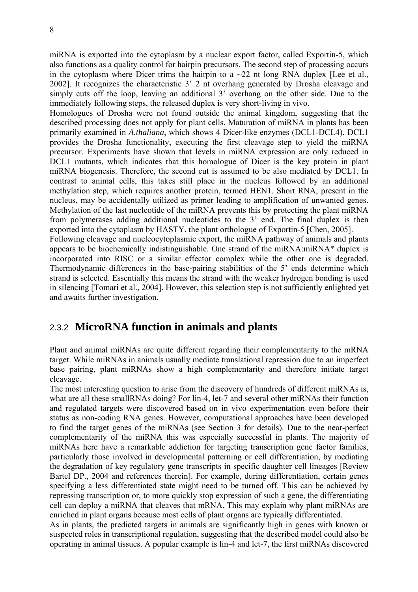<span id="page-7-0"></span>miRNA is exported into the cytoplasm by a nuclear export factor, called Exportin-5, which also functions as a quality control for hairpin precursors. The second step of processing occurs in the cytoplasm where Dicer trims the hairpin to a  $\sim$ 22 nt long RNA duplex [Lee et al., 2002]. It recognizes the characteristic 3' 2 nt overhang generated by Drosha cleavage and simply cuts off the loop, leaving an additional 3' overhang on the other side. Due to the immediately following steps, the released duplex is very short-living in vivo.

Homologues of Drosha were not found outside the animal kingdom, suggesting that the described processing does not apply for plant cells. Maturation of miRNA in plants has been primarily examined in *A.thaliana*, which shows 4 Dicer-like enzymes (DCL1-DCL4). DCL1 provides the Drosha functionality, executing the first cleavage step to yield the miRNA precursor. Experiments have shown that levels in miRNA expression are only reduced in DCL1 mutants, which indicates that this homologue of Dicer is the key protein in plant miRNA biogenesis. Therefore, the second cut is assumed to be also mediated by DCL1. In contrast to animal cells, this takes still place in the nucleus followed by an additional methylation step, which requires another protein, termed HEN1. Short RNA, present in the nucleus, may be accidentally utilized as primer leading to amplification of unwanted genes. Methylation of the last nucleotide of the miRNA prevents this by protecting the plant miRNA from polymerases adding additional nucleotides to the 3' end. The final duplex is then exported into the cytoplasm by HASTY, the plant orthologue of Exportin-5 [Chen, 2005].

Following cleavage and nucleocytoplasmic export, the miRNA pathway of animals and plants appears to be biochemically indistinguishable. One strand of the miRNA:miRNA\* duplex is incorporated into RISC or a similar effector complex while the other one is degraded. Thermodynamic differences in the base-pairing stabilities of the 5' ends determine which strand is selected. Essentially this means the strand with the weaker hydrogen bonding is used in silencing [Tomari et al., 2004]. However, this selection step is not sufficiently enlighted yet and awaits further investigation.

## 2.3.2 **MicroRNA function in animals and plants**

Plant and animal miRNAs are quite different regarding their complementarity to the mRNA target. While miRNAs in animals usually mediate translational repression due to an imperfect base pairing, plant miRNAs show a high complementarity and therefore initiate target cleavage.

The most interesting question to arise from the discovery of hundreds of different miRNAs is, what are all these smallRNAs doing? For lin-4, let-7 and several other miRNAs their function and regulated targets were discovered based on in vivo experimentation even before their status as non-coding RNA genes. However, computational approaches have been developed to find the target genes of the miRNAs (see Section 3 for details). Due to the near-perfect complementarity of the miRNA this was especially successful in plants. The majority of miRNAs here have a remarkable addiction for targeting transcription gene factor families, particularly those involved in developmental patterning or cell differentiation, by mediating the degradation of key regulatory gene transcripts in specific daughter cell lineages [Review Bartel DP., 2004 and references therein]. For example, during differentiation, certain genes specifying a less differentiated state might need to be turned off. This can be achieved by repressing transcription or, to more quickly stop expression of such a gene, the differentiating cell can deploy a miRNA that cleaves that mRNA. This may explain why plant miRNAs are enriched in plant organs because most cells of plant organs are typically differentiated.

As in plants, the predicted targets in animals are significantly high in genes with known or suspected roles in transcriptional regulation, suggesting that the described model could also be operating in animal tissues. A popular example is lin-4 and let-7, the first miRNAs discovered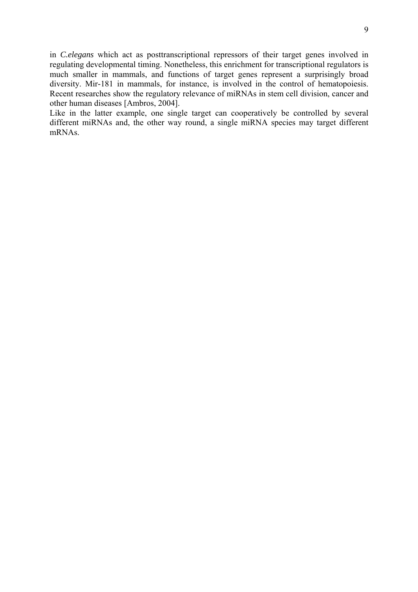in *C.elegans* which act as posttranscriptional repressors of their target genes involved in regulating developmental timing. Nonetheless, this enrichment for transcriptional regulators is much smaller in mammals, and functions of target genes represent a surprisingly broad diversity. Mir-181 in mammals, for instance, is involved in the control of hematopoiesis. Recent researches show the regulatory relevance of miRNAs in stem cell division, cancer and other human diseases [Ambros, 2004].

Like in the latter example, one single target can cooperatively be controlled by several different miRNAs and, the other way round, a single miRNA species may target different mRNAs.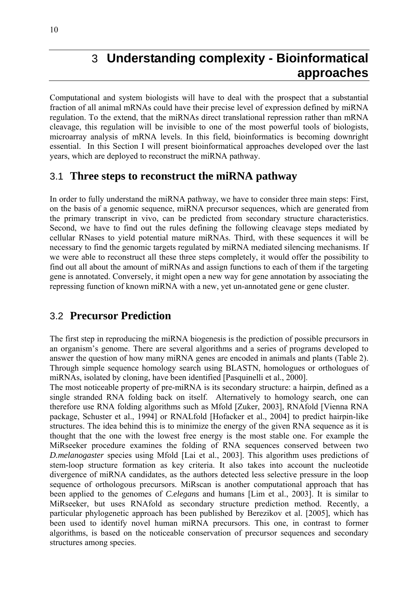## <span id="page-9-0"></span>3 **Understanding complexity - Bioinformatical approaches**

Computational and system biologists will have to deal with the prospect that a substantial fraction of all animal mRNAs could have their precise level of expression defined by miRNA regulation. To the extend, that the miRNAs direct translational repression rather than mRNA cleavage, this regulation will be invisible to one of the most powerful tools of biologists, microarray analysis of mRNA levels. In this field, bioinformatics is becoming downright essential. In this Section I will present bioinformatical approaches developed over the last years, which are deployed to reconstruct the miRNA pathway.

## 3.1 **Three steps to reconstruct the miRNA pathway**

In order to fully understand the miRNA pathway, we have to consider three main steps: First, on the basis of a genomic sequence, miRNA precursor sequences, which are generated from the primary transcript in vivo, can be predicted from secondary structure characteristics. Second, we have to find out the rules defining the following cleavage steps mediated by cellular RNases to yield potential mature miRNAs. Third, with these sequences it will be necessary to find the genomic targets regulated by miRNA mediated silencing mechanisms. If we were able to reconstruct all these three steps completely, it would offer the possibility to find out all about the amount of miRNAs and assign functions to each of them if the targeting gene is annotated. Conversely, it might open a new way for gene annotation by associating the repressing function of known miRNA with a new, yet un-annotated gene or gene cluster.

## 3.2 **Precursor Prediction**

The first step in reproducing the miRNA biogenesis is the prediction of possible precursors in an organism's genome. There are several algorithms and a series of programs developed to answer the question of how many miRNA genes are encoded in animals and plants (Table 2). Through simple sequence homology search using BLASTN, homologues or orthologues of miRNAs, isolated by cloning, have been identified [Pasquinelli et al., 2000].

The most noticeable property of pre-miRNA is its secondary structure: a hairpin, defined as a single stranded RNA folding back on itself. Alternatively to homology search, one can therefore use RNA folding algorithms such as Mfold [Zuker, 2003], RNAfold [Vienna RNA package, Schuster et al., 1994] or RNALfold [Hofacker et al., 2004] to predict hairpin-like structures. The idea behind this is to minimize the energy of the given RNA sequence as it is thought that the one with the lowest free energy is the most stable one. For example the MiRseeker procedure examines the folding of RNA sequences conserved between two *D.melanogaster* species using Mfold [Lai et al., 2003]. This algorithm uses predictions of stem-loop structure formation as key criteria. It also takes into account the nucleotide divergence of miRNA candidates, as the authors detected less selective pressure in the loop sequence of orthologous precursors. MiRscan is another computational approach that has been applied to the genomes of *C.elegans* and humans [Lim et al., 2003]. It is similar to MiRseeker, but uses RNAfold as secondary structure prediction method. Recently, a particular phylogenetic approach has been published by Berezikov et al. [2005], which has been used to identify novel human miRNA precursors. This one, in contrast to former algorithms, is based on the noticeable conservation of precursor sequences and secondary structures among species.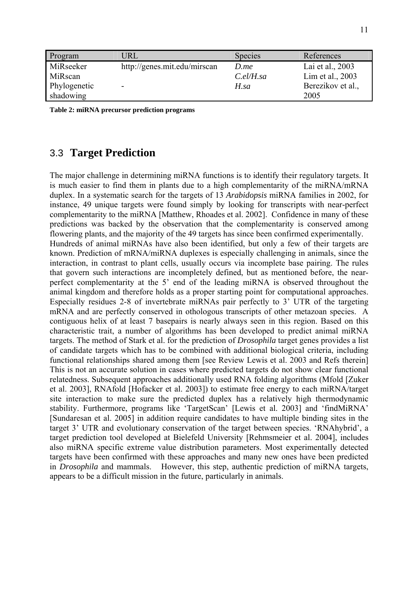<span id="page-10-0"></span>

| Program      | URL                          | <b>Species</b> | References        |
|--------------|------------------------------|----------------|-------------------|
| MiRseeker    | http://genes.mit.edu/mirscan | D.me           | Lai et al., 2003  |
| MiRscan      |                              | $C$ .el/H.sa   | Lim et al., 2003  |
| Phylogenetic | $\overline{\phantom{a}}$     | $H$ sa         | Berezikov et al., |
| shadowing    |                              |                | 2005              |

**Table 2: miRNA precursor prediction programs** 

## 3.3 **Target Prediction**

The major challenge in determining miRNA functions is to identify their regulatory targets. It is much easier to find them in plants due to a high complementarity of the miRNA/mRNA duplex. In a systematic search for the targets of 13 *Arabidopsis* miRNA families in 2002, for instance, 49 unique targets were found simply by looking for transcripts with near-perfect complementarity to the miRNA [Matthew, Rhoades et al. 2002]. Confidence in many of these predictions was backed by the observation that the complementarity is conserved among flowering plants, and the majority of the 49 targets has since been confirmed experimentally. Hundreds of animal miRNAs have also been identified, but only a few of their targets are known. Prediction of mRNA/miRNA duplexes is especially challenging in animals, since the interaction, in contrast to plant cells, usually occurs via incomplete base pairing. The rules that govern such interactions are incompletely defined, but as mentioned before, the nearperfect complementarity at the 5' end of the leading miRNA is observed throughout the animal kingdom and therefore holds as a proper starting point for computational approaches. Especially residues 2-8 of invertebrate miRNAs pair perfectly to 3' UTR of the targeting mRNA and are perfectly conserved in othologous transcripts of other metazoan species. A contiguous helix of at least 7 basepairs is nearly always seen in this region. Based on this characteristic trait, a number of algorithms has been developed to predict animal miRNA targets. The method of Stark et al. for the prediction of *Drosophila* target genes provides a list of candidate targets which has to be combined with additional biological criteria, including functional relationships shared among them [see Review Lewis et al. 2003 and Refs therein] This is not an accurate solution in cases where predicted targets do not show clear functional relatedness. Subsequent approaches additionally used RNA folding algorithms (Mfold [Zuker et al. 2003], RNAfold [Hofacker et al. 2003]) to estimate free energy to each miRNA/target site interaction to make sure the predicted duplex has a relatively high thermodynamic stability. Furthermore, programs like 'TargetScan' [Lewis et al. 2003] and 'findMiRNA' [Sundaresan et al. 2005] in addition require candidates to have multiple binding sites in the target 3' UTR and evolutionary conservation of the target between species. 'RNAhybrid', a target prediction tool developed at Bielefeld University [Rehmsmeier et al. 2004], includes also miRNA specific extreme value distribution parameters. Most experimentally detected targets have been confirmed with these approaches and many new ones have been predicted in *Drosophila* and mammals. However, this step, authentic prediction of miRNA targets, appears to be a difficult mission in the future, particularly in animals.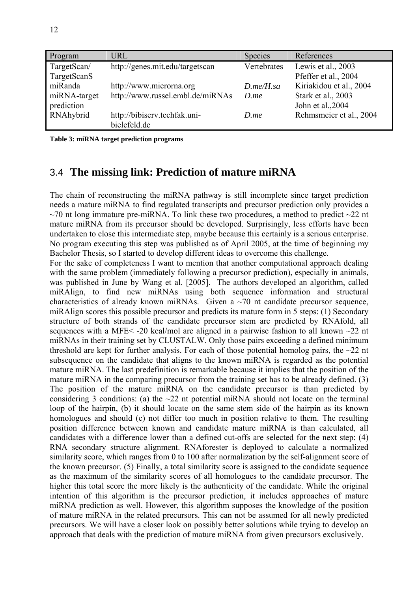<span id="page-11-0"></span>

| Program                | URL                              | <b>Species</b>   | References                                 |
|------------------------|----------------------------------|------------------|--------------------------------------------|
| TargetScan/            | http://genes.mit.edu/targetscan  | Vertebrates      | Lewis et al., 2003<br>Pfeffer et al., 2004 |
| TargetScanS<br>miRanda | http://www.microrna.org          | $D$ .me/ $H$ .sa | Kiriakidou et al., 2004                    |
| miRNA-target           | http://www.russel.embl.de/miRNAs | $D$ <i>me</i>    | Stark et al., 2003                         |
| prediction             |                                  |                  | John et al., 2004                          |
| RNAhybrid              | http://bibiserv.techfak.uni-     | D.me             | Rehmsmeier et al., 2004                    |
|                        | bielefeld.de                     |                  |                                            |

**Table 3: miRNA target prediction programs** 

## 3.4 **The missing link: Prediction of mature miRNA**

The chain of reconstructing the miRNA pathway is still incomplete since target prediction needs a mature miRNA to find regulated transcripts and precursor prediction only provides a  $\sim$ 70 nt long immature pre-miRNA. To link these two procedures, a method to predict  $\sim$ 22 nt mature miRNA from its precursor should be developed. Surprisingly, less efforts have been undertaken to close this intermediate step, maybe because this certainly is a serious enterprise. No program executing this step was published as of April 2005, at the time of beginning my Bachelor Thesis, so I started to develop different ideas to overcome this challenge.

For the sake of completeness I want to mention that another computational approach dealing with the same problem (immediately following a precursor prediction), especially in animals, was published in June by Wang et al. [2005]. The authors developed an algorithm, called miRAlign, to find new miRNAs using both sequence information and structural characteristics of already known miRNAs. Given a  $\sim$ 70 nt candidate precursor sequence, miRAlign scores this possible precursor and predicts its mature form in 5 steps: (1) Secondary structure of both strands of the candidate precursor stem are predicted by RNAfold, all sequences with a MFE< -20 kcal/mol are aligned in a pairwise fashion to all known ~22 nt miRNAs in their training set by CLUSTALW. Only those pairs exceeding a defined minimum threshold are kept for further analysis. For each of those potential homolog pairs, the  $\sim$ 22 nt subsequence on the candidate that aligns to the known miRNA is regarded as the potential mature miRNA. The last predefinition is remarkable because it implies that the position of the mature miRNA in the comparing precursor from the training set has to be already defined. (3) The position of the mature miRNA on the candidate precursor is than predicted by considering 3 conditions: (a) the  $\sim$ 22 nt potential miRNA should not locate on the terminal loop of the hairpin, (b) it should locate on the same stem side of the hairpin as its known homologues and should (c) not differ too much in position relative to them. The resulting position difference between known and candidate mature miRNA is than calculated, all candidates with a difference lower than a defined cut-offs are selected for the next step: (4) RNA secondary structure alignment. RNAforester is deployed to calculate a normalized similarity score, which ranges from 0 to 100 after normalization by the self-alignment score of the known precursor. (5) Finally, a total similarity score is assigned to the candidate sequence as the maximum of the similarity scores of all homologues to the candidate precursor. The higher this total score the more likely is the authenticity of the candidate. While the original intention of this algorithm is the precursor prediction, it includes approaches of mature miRNA prediction as well. However, this algorithm supposes the knowledge of the position of mature miRNA in the related precursors. This can not be assumed for all newly predicted precursors. We will have a closer look on possibly better solutions while trying to develop an approach that deals with the prediction of mature miRNA from given precursors exclusively.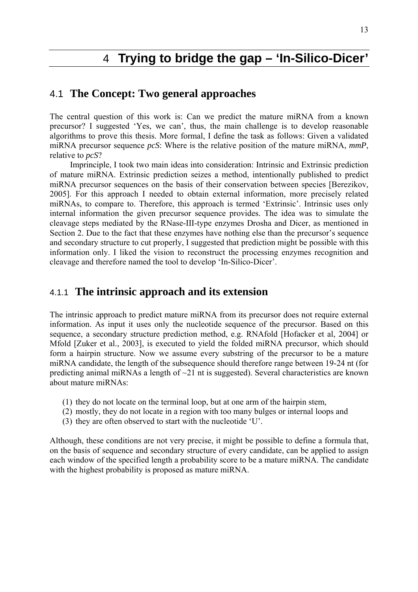## 4 **Trying to bridge the gap – 'In-Silico-Dicer'**

## <span id="page-12-0"></span>4.1 **The Concept: Two general approaches**

The central question of this work is: Can we predict the mature miRNA from a known precursor? I suggested 'Yes, we can', thus, the main challenge is to develop reasonable algorithms to prove this thesis. More formal, I define the task as follows: Given a validated miRNA precursor sequence *pcS*: Where is the relative position of the mature miRNA, *mmP*, relative to *pcS*?

Imprinciple, I took two main ideas into consideration: Intrinsic and Extrinsic prediction of mature miRNA. Extrinsic prediction seizes a method, intentionally published to predict miRNA precursor sequences on the basis of their conservation between species [Berezikov, 2005]. For this approach I needed to obtain external information, more precisely related miRNAs, to compare to. Therefore, this approach is termed 'Extrinsic'. Intrinsic uses only internal information the given precursor sequence provides. The idea was to simulate the cleavage steps mediated by the RNase-III-type enzymes Drosha and Dicer, as mentioned in Section 2. Due to the fact that these enzymes have nothing else than the precursor's sequence and secondary structure to cut properly, I suggested that prediction might be possible with this information only. I liked the vision to reconstruct the processing enzymes recognition and cleavage and therefore named the tool to develop 'In-Silico-Dicer'.

## 4.1.1 **The intrinsic approach and its extension**

The intrinsic approach to predict mature miRNA from its precursor does not require external information. As input it uses only the nucleotide sequence of the precursor. Based on this sequence, a secondary structure prediction method, e.g. RNAfold [Hofacker et al, 2004] or Mfold [Zuker et al., 2003], is executed to yield the folded miRNA precursor, which should form a hairpin structure. Now we assume every substring of the precursor to be a mature miRNA candidate, the length of the subsequence should therefore range between 19-24 nt (for predicting animal miRNAs a length of  $\sim$ 21 nt is suggested). Several characteristics are known about mature miRNAs:

- (1) they do not locate on the terminal loop, but at one arm of the hairpin stem,
- (2) mostly, they do not locate in a region with too many bulges or internal loops and
- (3) they are often observed to start with the nucleotide 'U'.

Although, these conditions are not very precise, it might be possible to define a formula that, on the basis of sequence and secondary structure of every candidate, can be applied to assign each window of the specified length a probability score to be a mature miRNA. The candidate with the highest probability is proposed as mature miRNA.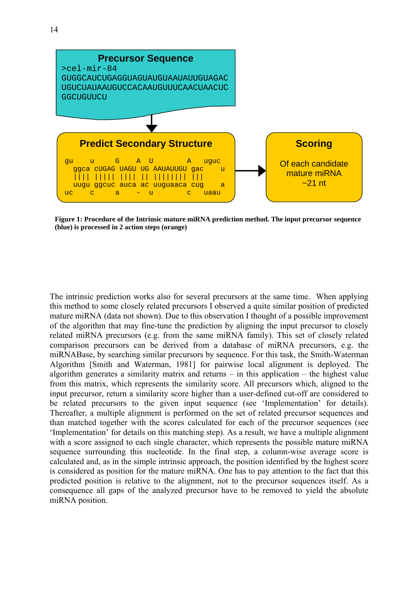

**Figure 1: Procedure of the Intrinsic mature miRNA prediction method. The input precursor sequence (blue) is processed in 2 action steps (orange)** 

The intrinsic prediction works also for several precursors at the same time. When applying this method to some closely related precursors I observed a quite similar position of predicted mature miRNA (data not shown). Due to this observation I thought of a possible improvement of the algorithm that may fine-tune the prediction by aligning the input precursor to closely related miRNA precursors (e.g. from the same miRNA family). This set of closely related comparison precursors can be derived from a database of miRNA precursors, e.g. the miRNABase, by searching similar precursors by sequence. For this task, the Smith-Waterman Algorithm [Smith and Waterman, 1981] for pairwise local alignment is deployed. The algorithm generates a similarity matrix and returns – in this application – the highest value from this matrix, which represents the similarity score. All precursors which, aligned to the input precursor, return a similarity score higher than a user-defined cut-off are considered to be related precursors to the given input sequence (see 'Implementation' for details). Thereafter, a multiple alignment is performed on the set of related precursor sequences and than matched together with the scores calculated for each of the precursor sequences (see 'Implementation' for details on this matching step). As a result, we have a multiple alignment with a score assigned to each single character, which represents the possible mature miRNA sequence surrounding this nucleotide. In the final step, a column-wise average score is calculated and, as in the simple intrinsic approach, the position identified by the highest score is considered as position for the mature miRNA. One has to pay attention to the fact that this predicted position is relative to the alignment, not to the precursor sequences itself. As a consequence all gaps of the analyzed precursor have to be removed to yield the absolute miRNA position.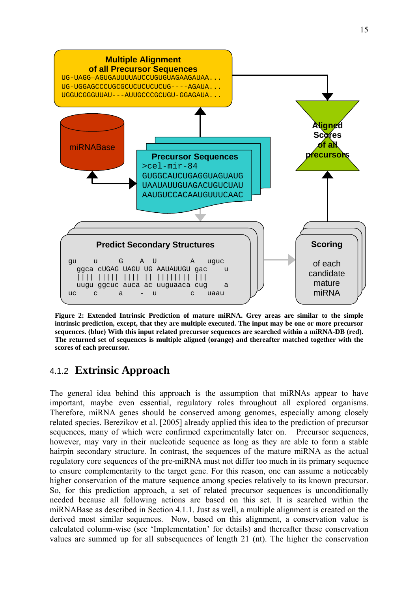<span id="page-14-0"></span>

**Figure 2: Extended Intrinsic Prediction of mature miRNA. Grey areas are similar to the simple intrinsic prediction, except, that they are multiple executed. The input may be one or more precursor sequences. (blue) With this input related precursor sequences are searched within a miRNA-DB (red). The returned set of sequences is multiple aligned (orange) and thereafter matched together with the scores of each precursor.** 

## 4.1.2 **Extrinsic Approach**

The general idea behind this approach is the assumption that miRNAs appear to have important, maybe even essential, regulatory roles throughout all explored organisms. Therefore, miRNA genes should be conserved among genomes, especially among closely related species. Berezikov et al. [2005] already applied this idea to the prediction of precursor sequences, many of which were confirmed experimentally later on. Precursor sequences, however, may vary in their nucleotide sequence as long as they are able to form a stable hairpin secondary structure. In contrast, the sequences of the mature miRNA as the actual regulatory core sequences of the pre-miRNA must not differ too much in its primary sequence to ensure complementarity to the target gene. For this reason, one can assume a noticeably higher conservation of the mature sequence among species relatively to its known precursor. So, for this prediction approach, a set of related precursor sequences is unconditionally needed because all following actions are based on this set. It is searched within the miRNABase as described in Section 4.1.1. Just as well, a multiple alignment is created on the derived most similar sequences. Now, based on this alignment, a conservation value is calculated column-wise (see 'Implementation' for details) and thereafter these conservation values are summed up for all subsequences of length 21 (nt). The higher the conservation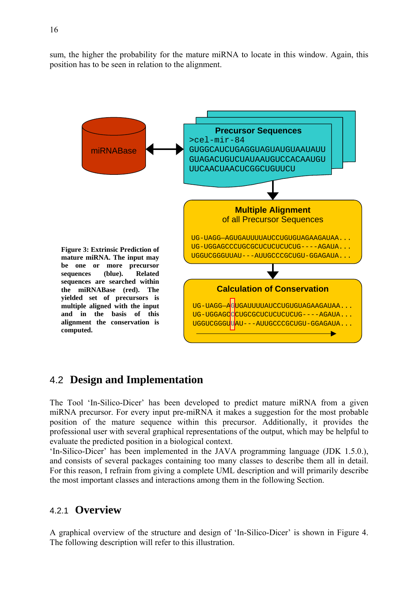<span id="page-15-0"></span>sum, the higher the probability for the mature miRNA to locate in this window. Again, this position has to be seen in relation to the alignment.



## 4.2 **Design and Implementation**

The Tool 'In-Silico-Dicer' has been developed to predict mature miRNA from a given miRNA precursor. For every input pre-miRNA it makes a suggestion for the most probable position of the mature sequence within this precursor. Additionally, it provides the professional user with several graphical representations of the output, which may be helpful to evaluate the predicted position in a biological context.

'In-Silico-Dicer' has been implemented in the JAVA programming language (JDK 1.5.0.), and consists of several packages containing too many classes to describe them all in detail. For this reason, I refrain from giving a complete UML description and will primarily describe the most important classes and interactions among them in the following Section.

## 4.2.1 **Overview**

A graphical overview of the structure and design of 'In-Silico-Dicer' is shown in Figure 4. The following description will refer to this illustration.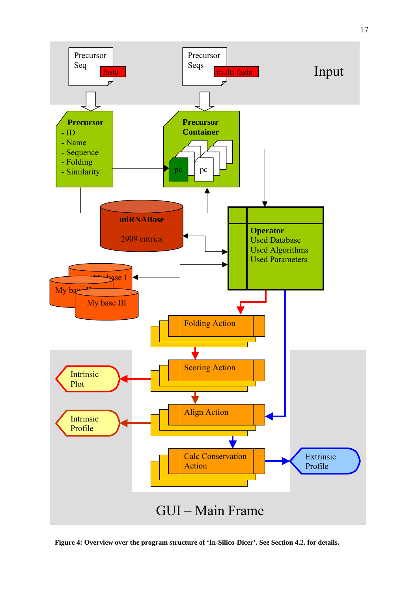

**Figure 4: Overview over the program structure of 'In-Silico-Dicer'. See Section 4.2. for details.**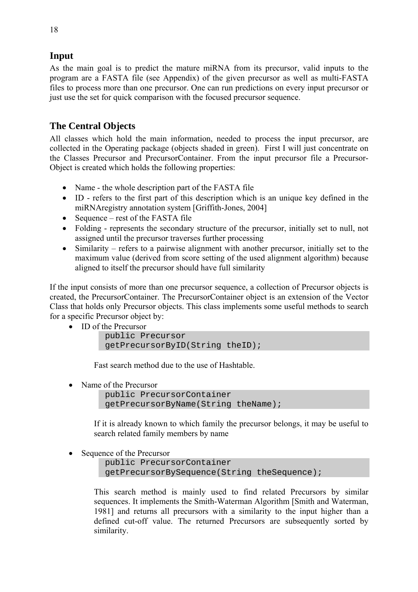## **Input**

As the main goal is to predict the mature miRNA from its precursor, valid inputs to the program are a FASTA file (see Appendix) of the given precursor as well as multi-FASTA files to process more than one precursor. One can run predictions on every input precursor or just use the set for quick comparison with the focused precursor sequence.

## **The Central Objects**

All classes which hold the main information, needed to process the input precursor, are collected in the Operating package (objects shaded in green). First I will just concentrate on the Classes Precursor and PrecursorContainer. From the input precursor file a Precursor-Object is created which holds the following properties:

- Name the whole description part of the FASTA file
- ID refers to the first part of this description which is an unique key defined in the miRNAregistry annotation system [Griffith-Jones, 2004]
- Sequence rest of the FASTA file
- Folding represents the secondary structure of the precursor, initially set to null, not assigned until the precursor traverses further processing
- Similarity refers to a pairwise alignment with another precursor, initially set to the maximum value (derived from score setting of the used alignment algorithm) because aligned to itself the precursor should have full similarity

If the input consists of more than one precursor sequence, a collection of Precursor objects is created, the PrecursorContainer. The PrecursorContainer object is an extension of the Vector Class that holds only Precursor objects. This class implements some useful methods to search for a specific Precursor object by:

• ID of the Precursor

```
public Precursor 
getPrecursorByID(String theID);
```
Fast search method due to the use of Hashtable.

• Name of the Precursor

```
public PrecursorContainer 
getPrecursorByName(String theName);
```
If it is already known to which family the precursor belongs, it may be useful to search related family members by name

• Sequence of the Precursor

public PrecursorContainer getPrecursorBySequence(String theSequence);

This search method is mainly used to find related Precursors by similar sequences. It implements the Smith-Waterman Algorithm [Smith and Waterman, 1981] and returns all precursors with a similarity to the input higher than a defined cut-off value. The returned Precursors are subsequently sorted by similarity.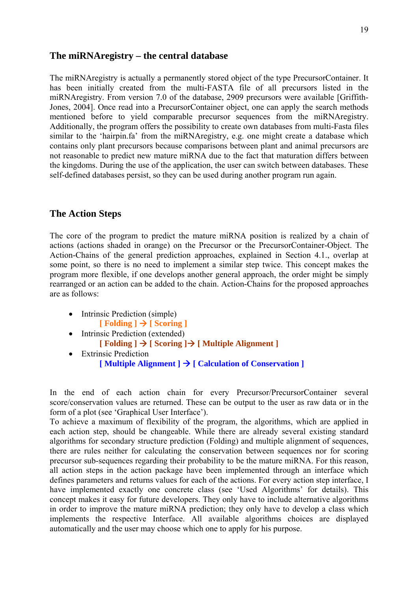#### **The miRNAregistry – the central database**

The miRNAregistry is actually a permanently stored object of the type PrecursorContainer. It has been initially created from the multi-FASTA file of all precursors listed in the miRNAregistry. From version 7.0 of the database, 2909 precursors were available [Griffith-Jones, 2004]. Once read into a PrecursorContainer object, one can apply the search methods mentioned before to yield comparable precursor sequences from the miRNAregistry. Additionally, the program offers the possibility to create own databases from multi-Fasta files similar to the 'hairpin.fa' from the miRNAregistry, e.g. one might create a database which contains only plant precursors because comparisons between plant and animal precursors are not reasonable to predict new mature miRNA due to the fact that maturation differs between the kingdoms. During the use of the application, the user can switch between databases. These self-defined databases persist, so they can be used during another program run again.

#### **The Action Steps**

The core of the program to predict the mature miRNA position is realized by a chain of actions (actions shaded in orange) on the Precursor or the PrecursorContainer-Object. The Action-Chains of the general prediction approaches, explained in Section 4.1., overlap at some point, so there is no need to implement a similar step twice. This concept makes the program more flexible, if one develops another general approach, the order might be simply rearranged or an action can be added to the chain. Action-Chains for the proposed approaches are as follows:

- Intrinsic Prediction (simple)  $\lceil$  **Folding**  $\rceil \rightarrow \lceil$  **Scoring**  $\rceil$
- Intrinsic Prediction (extended)  $\lceil \text{Following } \rceil \rightarrow \lceil \text{Scoring } \rceil$   $\lceil \text{Multiple Alignment } \rceil$
- Extrinsic Prediction  $[Multiplet \text{Alignment}] \rightarrow [Calculation \text{of} \text{Conservation}]$

In the end of each action chain for every Precursor/PrecursorContainer several score/conservation values are returned. These can be output to the user as raw data or in the form of a plot (see 'Graphical User Interface').

To achieve a maximum of flexibility of the program, the algorithms, which are applied in each action step, should be changeable. While there are already several existing standard algorithms for secondary structure prediction (Folding) and multiple alignment of sequences, there are rules neither for calculating the conservation between sequences nor for scoring precursor sub-sequences regarding their probability to be the mature miRNA. For this reason, all action steps in the action package have been implemented through an interface which defines parameters and returns values for each of the actions. For every action step interface, I have implemented exactly one concrete class (see 'Used Algorithms' for details). This concept makes it easy for future developers. They only have to include alternative algorithms in order to improve the mature miRNA prediction; they only have to develop a class which implements the respective Interface. All available algorithms choices are displayed automatically and the user may choose which one to apply for his purpose.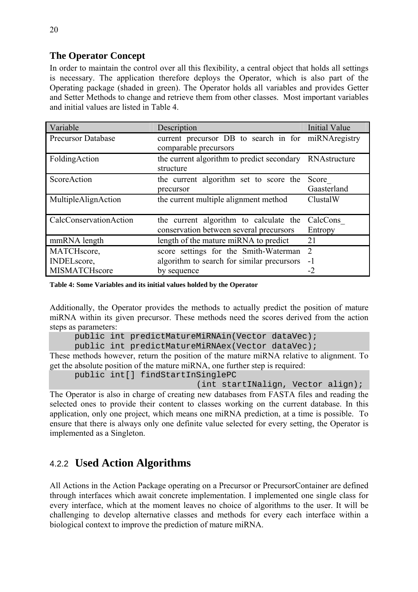## <span id="page-19-0"></span>**The Operator Concept**

In order to maintain the control over all this flexibility, a central object that holds all settings is necessary. The application therefore deploys the Operator, which is also part of the Operating package (shaded in green). The Operator holds all variables and provides Getter and Setter Methods to change and retrieve them from other classes. Most important variables and initial values are listed in Table 4.

| Variable                  | Description                                             | <b>Initial Value</b> |
|---------------------------|---------------------------------------------------------|----------------------|
| <b>Precursor Database</b> | current precursor DB to search in for miRNAregistry     |                      |
|                           | comparable precursors                                   |                      |
| FoldingAction             | the current algorithm to predict secondary RNAstructure |                      |
|                           | structure                                               |                      |
| ScoreAction               | the current algorithm set to score the                  | Score                |
|                           | precursor                                               | Gaasterland          |
| MultipleAlignAction       | the current multiple alignment method                   | ClustalW             |
|                           |                                                         |                      |
| CalcConservationAction    | the current algorithm to calculate the                  | CalcCons             |
|                           | conservation between several precursors                 | Entropy              |
| mmRNA length              | length of the mature miRNA to predict                   | 21                   |
| MATCHscore,               | score settings for the Smith-Waterman                   | $\overline{2}$       |
| <b>INDELscore,</b>        | algorithm to search for similar precursors              | $-1$                 |
| MISMATCHscore             | by sequence                                             | -2                   |

**Table 4: Some Variables and its initial values holded by the Operator** 

Additionally, the Operator provides the methods to actually predict the position of mature miRNA within its given precursor. These methods need the scores derived from the action steps as parameters:

```
public int predictMatureMiRNAin(Vector dataVec);
```
public int predictMatureMiRNAex(Vector dataVec);

These methods however, return the position of the mature miRNA relative to alignment. To get the absolute position of the mature miRNA, one further step is required:

```
public int[] findStartInSinglePC
```
(int startINalign, Vector align);

The Operator is also in charge of creating new databases from FASTA files and reading the selected ones to provide their content to classes working on the current database. In this application, only one project, which means one miRNA prediction, at a time is possible. To ensure that there is always only one definite value selected for every setting, the Operator is implemented as a Singleton.

## 4.2.2 **Used Action Algorithms**

All Actions in the Action Package operating on a Precursor or PrecursorContainer are defined through interfaces which await concrete implementation. I implemented one single class for every interface, which at the moment leaves no choice of algorithms to the user. It will be challenging to develop alternative classes and methods for every each interface within a biological context to improve the prediction of mature miRNA.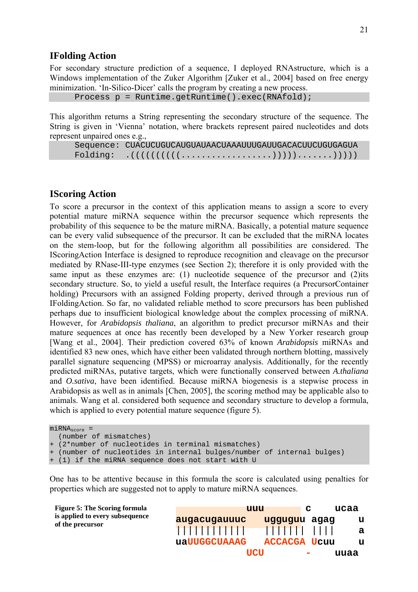#### **IFolding Action**

For secondary structure prediction of a sequence, I deployed RNAstructure, which is a Windows implementation of the Zuker Algorithm [Zuker et al., 2004] based on free energy minimization. 'In-Silico-Dicer' calls the program by creating a new process.

```
Process p = Runtime.getRuntime().exec(RNAfold);
```
This algorithm returns a String representing the secondary structure of the sequence. The String is given in 'Vienna' notation, where brackets represent paired nucleotides and dots represent unpaired ones e.g.,

Sequence: CUACUCUGUCAUGUAUAACUAAAUUUGAUUGACACUUCUGUGAGUA Folding: .((((((((((..................))))).......)))))

#### **IScoring Action**

To score a precursor in the context of this application means to assign a score to every potential mature miRNA sequence within the precursor sequence which represents the probability of this sequence to be the mature miRNA. Basically, a potential mature sequence can be every valid subsequence of the precursor. It can be excluded that the miRNA locates on the stem-loop, but for the following algorithm all possibilities are considered. The IScoringAction Interface is designed to reproduce recognition and cleavage on the precursor mediated by RNase-III-type enzymes (see Section 2); therefore it is only provided with the same input as these enzymes are: (1) nucleotide sequence of the precursor and (2)its secondary structure. So, to yield a useful result, the Interface requires (a PrecursorContainer holding) Precursors with an assigned Folding property, derived through a previous run of IFoldingAction. So far, no validated reliable method to score precursors has been published perhaps due to insufficient biological knowledge about the complex processing of miRNA. However, for *Arabidopsis thaliana*, an algorithm to predict precursor miRNAs and their mature sequences at once has recently been developed by a New Yorker research group [Wang et al., 2004]. Their prediction covered 63% of known *Arabidopsis* miRNAs and identified 83 new ones, which have either been validated through northern blotting, massively parallel signature sequencing (MPSS) or microarray analysis. Additionally, for the recently predicted miRNAs, putative targets, which were functionally conserved between *A.thaliana* and *O.sativa*, have been identified. Because miRNA biogenesis is a stepwise process in Arabidopsis as well as in animals [Chen, 2005], the scoring method may be applicable also to animals. Wang et al. considered both sequence and secondary structure to develop a formula, which is applied to every potential mature sequence (figure 5).

```
miRNA<sub>score</sub> =
   (number of mismatches) 
 (2*number of nucleotides in terminal mismatches)
 (number of nucleotides in internal bulges/number of internal bulges)
+ (1) if the miRNA sequence does not start with U
```
One has to be attentive because in this formula the score is calculated using penalties for properties which are suggested not to apply to mature miRNA sequences.

| Figure 5: The Scoring formula                       | uuu           |                     | C | ucaa |
|-----------------------------------------------------|---------------|---------------------|---|------|
| is applied to every subsequence<br>of the precursor | augacugauuuc  | uqququu aqaq        |   | u    |
|                                                     | 1111111111111 |                     |   | a    |
|                                                     | uaUUGGCUAAAG  | <b>ACCACGA Ucuu</b> |   | u    |
|                                                     | <b>TICTI</b>  |                     |   | uuaa |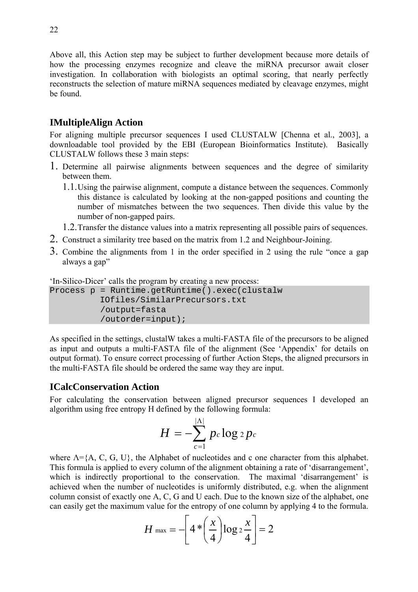Above all, this Action step may be subject to further development because more details of how the processing enzymes recognize and cleave the miRNA precursor await closer investigation. In collaboration with biologists an optimal scoring, that nearly perfectly reconstructs the selection of mature miRNA sequences mediated by cleavage enzymes, might be found.

## **IMultipleAlign Action**

For aligning multiple precursor sequences I used CLUSTALW [Chenna et al., 2003], a downloadable tool provided by the EBI (European Bioinformatics Institute). Basically CLUSTALW follows these 3 main steps:

- 1. Determine all pairwise alignments between sequences and the degree of similarity between them.
	- 1.1. Using the pairwise alignment, compute a distance between the sequences. Commonly this distance is calculated by looking at the non-gapped positions and counting the number of mismatches between the two sequences. Then divide this value by the number of non-gapped pairs.
	- 1.2. Transfer the distance values into a matrix representing all possible pairs of sequences.
- 2. Construct a similarity tree based on the matrix from 1.2 and Neighbour-Joining.
- 3. Combine the alignments from 1 in the order specified in 2 using the rule "once a gap always a gap"

'In-Silico-Dicer' calls the program by creating a new process:

```
Process p = Runtime.getRuntime().exec(clustalw 
            IOfiles/SimilarPrecursors.txt 
            /output=fasta 
            /outorder=input);
```
As specified in the settings, clustalW takes a multi-FASTA file of the precursors to be aligned as input and outputs a multi-FASTA file of the alignment (See 'Appendix' for details on output format). To ensure correct processing of further Action Steps, the aligned precursors in the multi-FASTA file should be ordered the same way they are input.

#### **ICalcConservation Action**

For calculating the conservation between aligned precursor sequences I developed an algorithm using free entropy H defined by the following formula:

$$
H=-\sum_{c=1}^{|\Lambda|} p_c \log_2 p_c
$$

where  $\Lambda = \{A, C, G, U\}$ , the Alphabet of nucleotides and c one character from this alphabet. This formula is applied to every column of the alignment obtaining a rate of 'disarrangement', which is indirectly proportional to the conservation. The maximal 'disarrangement' is achieved when the number of nucleotides is uniformly distributed, e.g. when the alignment column consist of exactly one A, C, G and U each. Due to the known size of the alphabet, one can easily get the maximum value for the entropy of one column by applying 4 to the formula.

$$
H_{\text{max}} = -\left[4 \times \left(\frac{x}{4}\right) \log_2 \frac{x}{4}\right] = 2
$$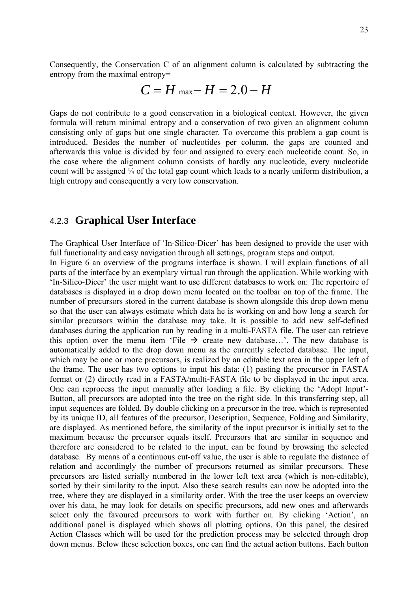<span id="page-22-0"></span>Consequently, the Conservation C of an alignment column is calculated by subtracting the entropy from the maximal entropy=

$$
C=H_{\text{max}}-H=2.0-H
$$

Gaps do not contribute to a good conservation in a biological context. However, the given formula will return minimal entropy and a conservation of two given an alignment column consisting only of gaps but one single character. To overcome this problem a gap count is introduced. Besides the number of nucleotides per column, the gaps are counted and afterwards this value is divided by four and assigned to every each nucleotide count. So, in the case where the alignment column consists of hardly any nucleotide, every nucleotide count will be assigned ¼ of the total gap count which leads to a nearly uniform distribution, a high entropy and consequently a very low conservation.

## 4.2.3 **Graphical User Interface**

The Graphical User Interface of 'In-Silico-Dicer' has been designed to provide the user with full functionality and easy navigation through all settings, program steps and output.

In Figure 6 an overview of the programs interface is shown. I will explain functions of all parts of the interface by an exemplary virtual run through the application. While working with 'In-Silico-Dicer' the user might want to use different databases to work on: The repertoire of databases is displayed in a drop down menu located on the toolbar on top of the frame. The number of precursors stored in the current database is shown alongside this drop down menu so that the user can always estimate which data he is working on and how long a search for similar precursors within the database may take. It is possible to add new self-defined databases during the application run by reading in a multi-FASTA file. The user can retrieve this option over the menu item 'File  $\rightarrow$  create new database...'. The new database is automatically added to the drop down menu as the currently selected database. The input, which may be one or more precursors, is realized by an editable text area in the upper left of the frame. The user has two options to input his data: (1) pasting the precursor in FASTA format or (2) directly read in a FASTA/multi-FASTA file to be displayed in the input area. One can reprocess the input manually after loading a file. By clicking the 'Adopt Input'- Button, all precursors are adopted into the tree on the right side. In this transferring step, all input sequences are folded. By double clicking on a precursor in the tree, which is represented by its unique ID, all features of the precursor, Description, Sequence, Folding and Similarity, are displayed. As mentioned before, the similarity of the input precursor is initially set to the maximum because the precursor equals itself. Precursors that are similar in sequence and therefore are considered to be related to the input, can be found by browsing the selected database. By means of a continuous cut-off value, the user is able to regulate the distance of relation and accordingly the number of precursors returned as similar precursors. These precursors are listed serially numbered in the lower left text area (which is non-editable), sorted by their similarity to the input. Also these search results can now be adopted into the tree, where they are displayed in a similarity order. With the tree the user keeps an overview over his data, he may look for details on specific precursors, add new ones and afterwards select only the favoured precursors to work with further on. By clicking 'Action', an additional panel is displayed which shows all plotting options. On this panel, the desired Action Classes which will be used for the prediction process may be selected through drop down menus. Below these selection boxes, one can find the actual action buttons. Each button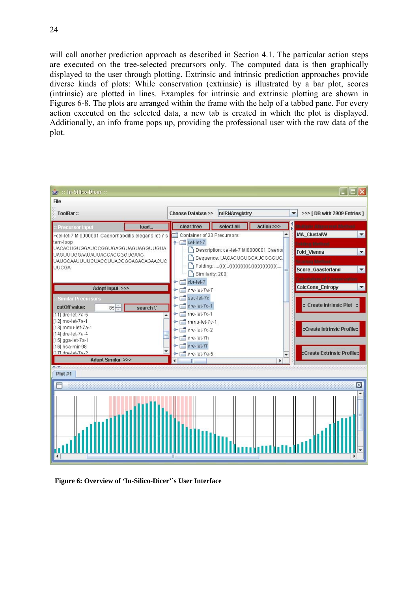will call another prediction approach as described in Section 4.1. The particular action steps are executed on the tree-selected precursors only. The computed data is then graphically displayed to the user through plotting. Extrinsic and intrinsic prediction approaches provide diverse kinds of plots: While conservation (extrinsic) is illustrated by a bar plot, scores (intrinsic) are plotted in lines. Examples for intrinsic and extrinsic plotting are shown in Figures 6-8. The plots are arranged within the frame with the help of a tabbed pane. For every action executed on the selected data, a new tab is created in which the plot is displayed. Additionally, an info frame pops up, providing the professional user with the raw data of the plot.



**Figure 6: Overview of 'In-Silico-Dicer'`s User Interface**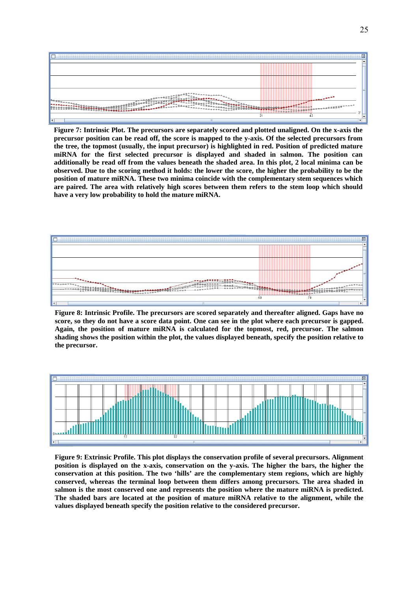

**Figure 7: Intrinsic Plot. The precursors are separately scored and plotted unaligned. On the x-axis the precursor position can be read off, the score is mapped to the y-axis. Of the selected precursors from the tree, the topmost (usually, the input precursor) is highlighted in red. Position of predicted mature miRNA for the first selected precursor is displayed and shaded in salmon. The position can additionally be read off from the values beneath the shaded area. In this plot, 2 local minima can be observed. Due to the scoring method it holds: the lower the score, the higher the probability to be the position of mature miRNA. These two minima coincide with the complementary stem sequences which are paired. The area with relatively high scores between them refers to the stem loop which should have a very low probability to hold the mature miRNA.** 



**Figure 8: Intrinsic Profile. The precursors are scored separately and thereafter aligned. Gaps have no score, so they do not have a score data point. One can see in the plot where each precursor is gapped. Again, the position of mature miRNA is calculated for the topmost, red, precursor. The salmon shading shows the position within the plot, the values displayed beneath, specify the position relative to the precursor.** 



**Figure 9: Extrinsic Profile. This plot displays the conservation profile of several precursors. Alignment position is displayed on the x-axis, conservation on the y-axis. The higher the bars, the higher the conservation at this position. The two 'hills' are the complementary stem regions, which are highly conserved, whereas the terminal loop between them differs among precursors. The area shaded in salmon is the most conserved one and represents the position where the mature miRNA is predicted. The shaded bars are located at the position of mature miRNA relative to the alignment, while the values displayed beneath specify the position relative to the considered precursor.**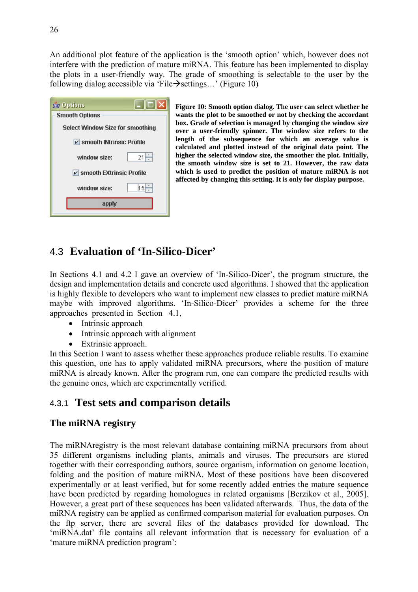<span id="page-25-0"></span>An additional plot feature of the application is the 'smooth option' which, however does not interfere with the prediction of mature miRNA. This feature has been implemented to display the plots in a user-friendly way. The grade of smoothing is selectable to the user by the following dialog accessible via 'File $\rightarrow$  settings...' (Figure 10)

| $\Box$ e x<br><b>Solutions</b>          |  |
|-----------------------------------------|--|
| <b>Smooth Options</b>                   |  |
| <b>Select Window Size for smoothing</b> |  |
| $\nu$ smooth INtrinsic Profile          |  |
| 21<br>window size:                      |  |
| $\nu$ smooth EXtrinsic Profile          |  |
| 15⊩<br>window size:                     |  |
| apply                                   |  |
|                                         |  |

**Figure 10: Smooth option dialog. The user can select whether he wants the plot to be smoothed or not by checking the accordant box. Grade of selection is managed by changing the window size over a user-friendly spinner. The window size refers to the length of the subsequence for which an average value is calculated and plotted instead of the original data point. The higher the selected window size, the smoother the plot. Initially, the smooth window size is set to 21. However, the raw data which is used to predict the position of mature miRNA is not affected by changing this setting. It is only for display purpose.** 

## 4.3 **Evaluation of 'In-Silico-Dicer'**

In Sections 4.1 and 4.2 I gave an overview of 'In-Silico-Dicer', the program structure, the design and implementation details and concrete used algorithms. I showed that the application is highly flexible to developers who want to implement new classes to predict mature miRNA maybe with improved algorithms. 'In-Silico-Dicer' provides a scheme for the three approaches presented in Section 4.1,

- Intrinsic approach
- Intrinsic approach with alignment
- Extrinsic approach.

In this Section I want to assess whether these approaches produce reliable results. To examine this question, one has to apply validated miRNA precursors, where the position of mature miRNA is already known. After the program run, one can compare the predicted results with the genuine ones, which are experimentally verified.

## 4.3.1 **Test sets and comparison details**

## **The miRNA registry**

The miRNAregistry is the most relevant database containing miRNA precursors from about 35 different organisms including plants, animals and viruses. The precursors are stored together with their corresponding authors, source organism, information on genome location, folding and the position of mature miRNA. Most of these positions have been discovered experimentally or at least verified, but for some recently added entries the mature sequence have been predicted by regarding homologues in related organisms [Berzikov et al., 2005]. However, a great part of these sequences has been validated afterwards. Thus, the data of the miRNA registry can be applied as confirmed comparison material for evaluation purposes. On the ftp server, there are several files of the databases provided for download. The 'miRNA.dat' file contains all relevant information that is necessary for evaluation of a 'mature miRNA prediction program':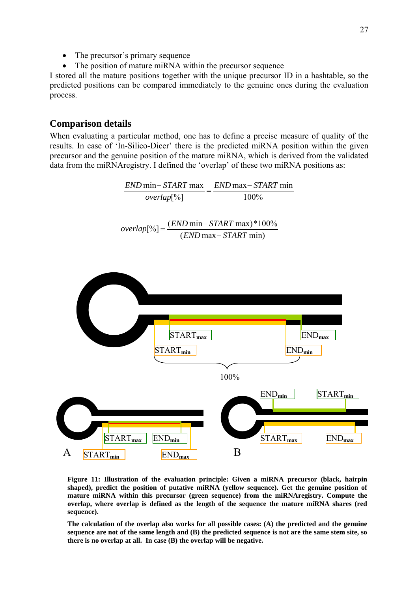- The precursor's primary sequence
- The position of mature miRNA within the precursor sequence

I stored all the mature positions together with the unique precursor ID in a hashtable, so the predicted positions can be compared immediately to the genuine ones during the evaluation process.

#### **Comparison details**

When evaluating a particular method, one has to define a precise measure of quality of the results. In case of 'In-Silico-Dicer' there is the predicted miRNA position within the given precursor and the genuine position of the mature miRNA, which is derived from the validated data from the miRNAregistry. I defined the 'overlap' of these two miRNA positions as:

100%  $\frac{END \text{ min} - START \text{ max}}{F} = \frac{END \text{ max} - START \text{ min}}{F}$ overlap<sup>[%]</sup>  $overlap[^{\%}] = \frac{(END \text{ min} - START \text{ max}) * 100\%}{(END \text{ max} - START \text{ min})}$ START<sub>min</sub> END<sub>min</sub> START<sub>max</sub> END<sub>max</sub> 100% END**min** START**min**  $START_{max}$  END<sub>min</sub>  $\qquad \qquad$  START<sub>max</sub> END<sub>max</sub> A START<sub>min</sub> END<sub>max</sub> B

**Figure 11: Illustration of the evaluation principle: Given a miRNA precursor (black, hairpin shaped), predict the position of putative miRNA (yellow sequence). Get the genuine position of mature miRNA within this precursor (green sequence) from the miRNAregistry. Compute the overlap, where overlap is defined as the length of the sequence the mature miRNA shares (red sequence).** 

**The calculation of the overlap also works for all possible cases: (A) the predicted and the genuine sequence are not of the same length and (B) the predicted sequence is not are the same stem site, so there is no overlap at all. In case (B) the overlap will be negative.**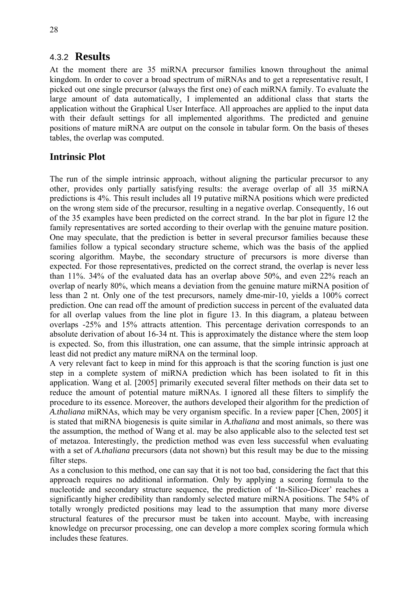#### <span id="page-27-0"></span>4.3.2 **Results**

At the moment there are 35 miRNA precursor families known throughout the animal kingdom. In order to cover a broad spectrum of miRNAs and to get a representative result, I picked out one single precursor (always the first one) of each miRNA family. To evaluate the large amount of data automatically, I implemented an additional class that starts the application without the Graphical User Interface. All approaches are applied to the input data with their default settings for all implemented algorithms. The predicted and genuine positions of mature miRNA are output on the console in tabular form. On the basis of theses tables, the overlap was computed.

### **Intrinsic Plot**

The run of the simple intrinsic approach, without aligning the particular precursor to any other, provides only partially satisfying results: the average overlap of all 35 miRNA predictions is 4%. This result includes all 19 putative miRNA positions which were predicted on the wrong stem side of the precursor, resulting in a negative overlap. Consequently, 16 out of the 35 examples have been predicted on the correct strand. In the bar plot in figure 12 the family representatives are sorted according to their overlap with the genuine mature position. One may speculate, that the prediction is better in several precursor families because these families follow a typical secondary structure scheme, which was the basis of the applied scoring algorithm. Maybe, the secondary structure of precursors is more diverse than expected. For those representatives, predicted on the correct strand, the overlap is never less than 11%. 34% of the evaluated data has an overlap above 50%, and even 22% reach an overlap of nearly 80%, which means a deviation from the genuine mature miRNA position of less than 2 nt. Only one of the test precursors, namely dme-mir-10, yields a 100% correct prediction. One can read off the amount of prediction success in percent of the evaluated data for all overlap values from the line plot in figure 13. In this diagram, a plateau between overlaps -25% and 15% attracts attention. This percentage derivation corresponds to an absolute derivation of about 16-34 nt. This is approximately the distance where the stem loop is expected. So, from this illustration, one can assume, that the simple intrinsic approach at least did not predict any mature miRNA on the terminal loop.

A very relevant fact to keep in mind for this approach is that the scoring function is just one step in a complete system of miRNA prediction which has been isolated to fit in this application. Wang et al. [2005] primarily executed several filter methods on their data set to reduce the amount of potential mature miRNAs. I ignored all these filters to simplify the procedure to its essence. Moreover, the authors developed their algorithm for the prediction of *A.thaliana* miRNAs, which may be very organism specific. In a review paper [Chen, 2005] it is stated that miRNA biogenesis is quite similar in *A.thaliana* and most animals, so there was the assumption, the method of Wang et al. may be also applicable also to the selected test set of metazoa. Interestingly, the prediction method was even less successful when evaluating with a set of *A.thaliana* precursors (data not shown) but this result may be due to the missing filter steps.

As a conclusion to this method, one can say that it is not too bad, considering the fact that this approach requires no additional information. Only by applying a scoring formula to the nucleotide and secondary structure sequence, the prediction of 'In-Silico-Dicer' reaches a significantly higher credibility than randomly selected mature miRNA positions. The 54% of totally wrongly predicted positions may lead to the assumption that many more diverse structural features of the precursor must be taken into account. Maybe, with increasing knowledge on precursor processing, one can develop a more complex scoring formula which includes these features.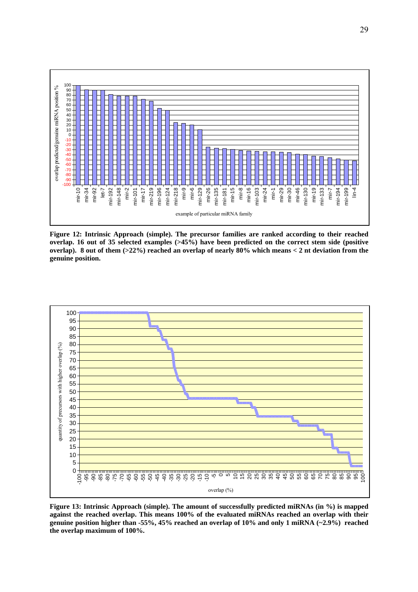

**Figure 12: Intrinsic Approach (simple). The precursor families are ranked according to their reached overlap. 16 out of 35 selected examples (>45%) have been predicted on the correct stem side (positive overlap). 8 out of them (>22%) reached an overlap of nearly 80% which means < 2 nt deviation from the genuine position.** 



**Figure 13: Intrinsic Approach (simple). The amount of successfully predicted miRNAs (in %) is mapped against the reached overlap. This means 100% of the evaluated miRNAs reached an overlap with their genuine position higher than -55%, 45% reached an overlap of 10% and only 1 miRNA (~2.9%) reached the overlap maximum of 100%.**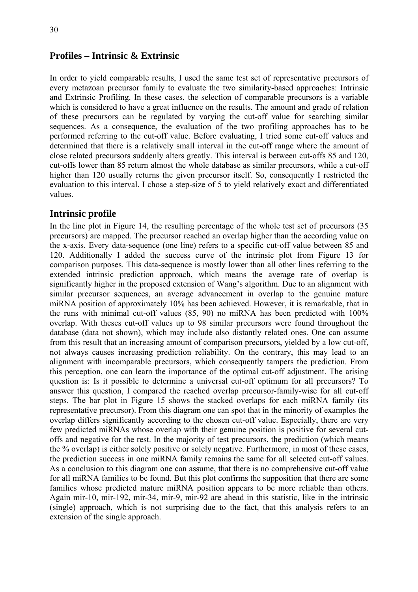#### **Profiles – Intrinsic & Extrinsic**

In order to yield comparable results, I used the same test set of representative precursors of every metazoan precursor family to evaluate the two similarity-based approaches: Intrinsic and Extrinsic Profiling. In these cases, the selection of comparable precursors is a variable which is considered to have a great influence on the results. The amount and grade of relation of these precursors can be regulated by varying the cut-off value for searching similar sequences. As a consequence, the evaluation of the two profiling approaches has to be performed referring to the cut-off value. Before evaluating, I tried some cut-off values and determined that there is a relatively small interval in the cut-off range where the amount of close related precursors suddenly alters greatly. This interval is between cut-offs 85 and 120, cut-offs lower than 85 return almost the whole database as similar precursors, while a cut-off higher than 120 usually returns the given precursor itself. So, consequently I restricted the evaluation to this interval. I chose a step-size of 5 to yield relatively exact and differentiated values.

#### **Intrinsic profile**

In the line plot in Figure 14, the resulting percentage of the whole test set of precursors (35 precursors) are mapped. The precursor reached an overlap higher than the according value on the x-axis. Every data-sequence (one line) refers to a specific cut-off value between 85 and 120. Additionally I added the success curve of the intrinsic plot from Figure 13 for comparison purposes. This data-sequence is mostly lower than all other lines referring to the extended intrinsic prediction approach, which means the average rate of overlap is significantly higher in the proposed extension of Wang's algorithm. Due to an alignment with similar precursor sequences, an average advancement in overlap to the genuine mature miRNA position of approximately 10% has been achieved. However, it is remarkable, that in the runs with minimal cut-off values (85, 90) no miRNA has been predicted with 100% overlap. With theses cut-off values up to 98 similar precursors were found throughout the database (data not shown), which may include also distantly related ones. One can assume from this result that an increasing amount of comparison precursors, yielded by a low cut-off, not always causes increasing prediction reliability. On the contrary, this may lead to an alignment with incomparable precursors, which consequently tampers the prediction. From this perception, one can learn the importance of the optimal cut-off adjustment. The arising question is: Is it possible to determine a universal cut-off optimum for all precursors? To answer this question, I compared the reached overlap precursor-family-wise for all cut-off steps. The bar plot in Figure 15 shows the stacked overlaps for each miRNA family (its representative precursor). From this diagram one can spot that in the minority of examples the overlap differs significantly according to the chosen cut-off value. Especially, there are very few predicted miRNAs whose overlap with their genuine position is positive for several cutoffs and negative for the rest. In the majority of test precursors, the prediction (which means the % overlap) is either solely positive or solely negative. Furthermore, in most of these cases, the prediction success in one miRNA family remains the same for all selected cut-off values. As a conclusion to this diagram one can assume, that there is no comprehensive cut-off value for all miRNA families to be found. But this plot confirms the supposition that there are some families whose predicted mature miRNA position appears to be more reliable than others. Again mir-10, mir-192, mir-34, mir-9, mir-92 are ahead in this statistic, like in the intrinsic (single) approach, which is not surprising due to the fact, that this analysis refers to an extension of the single approach.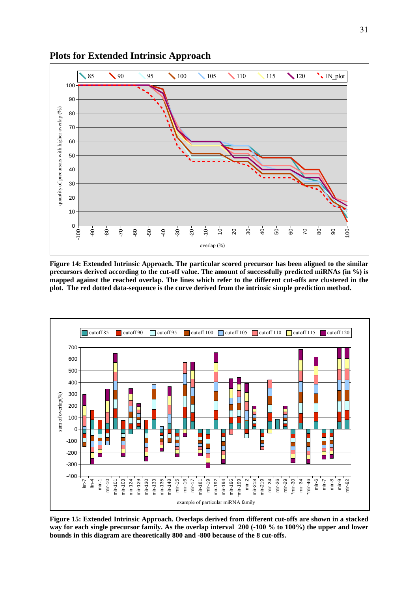

**Plots for Extended Intrinsic Approach** 

**Figure 14: Extended Intrinsic Approach. The particular scored precursor has been aligned to the similar precursors derived according to the cut-off value. The amount of successfully predicted miRNAs (in %) is mapped against the reached overlap. The lines which refer to the different cut-offs are clustered in the plot. The red dotted data-sequence is the curve derived from the intrinsic simple prediction method.** 



**Figure 15: Extended Intrinsic Approach. Overlaps derived from different cut-offs are shown in a stacked way for each single precursor family. As the overlap interval 200 (-100 % to 100%) the upper and lower bounds in this diagram are theoretically 800 and -800 because of the 8 cut-offs.**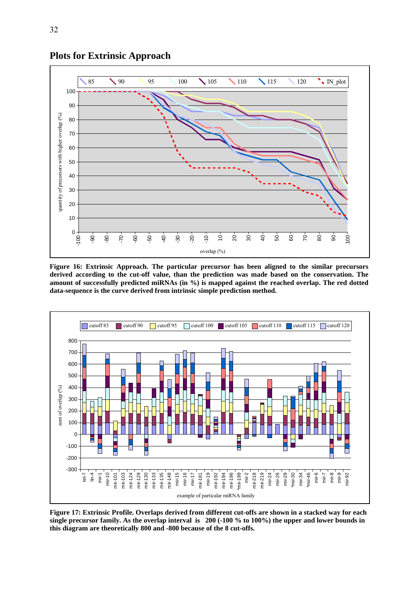

**Figure 16: Extrinsic Approach. The particular precursor has been aligned to the similar precursors derived according to the cut-off value, than the prediction was made based on the conservation. The amount of successfully predicted miRNAs (in %) is mapped against the reached overlap. The red dotted data-sequence is the curve derived from intrinsic simple prediction method.** 



**Figure 17: Extrinsic Profile. Overlaps derived from different cut-offs are shown in a stacked way for each single precursor family. As the overlap interval is 200 (-100 % to 100%) the upper and lower bounds in this diagram are theoretically 800 and -800 because of the 8 cut-offs.** 

32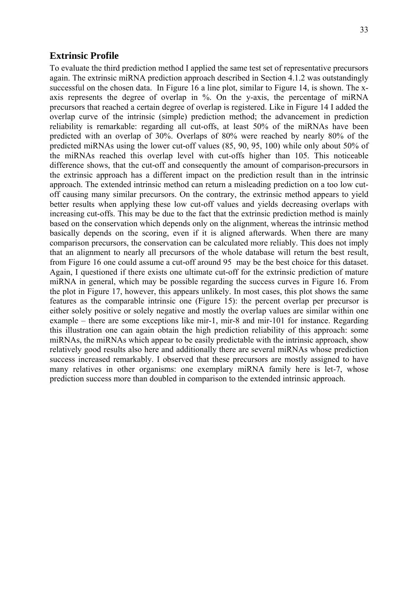#### **Extrinsic Profile**

To evaluate the third prediction method I applied the same test set of representative precursors again. The extrinsic miRNA prediction approach described in Section 4.1.2 was outstandingly successful on the chosen data. In Figure 16 a line plot, similar to Figure 14, is shown. The xaxis represents the degree of overlap in %. On the y-axis, the percentage of miRNA precursors that reached a certain degree of overlap is registered. Like in Figure 14 I added the overlap curve of the intrinsic (simple) prediction method; the advancement in prediction reliability is remarkable: regarding all cut-offs, at least 50% of the miRNAs have been predicted with an overlap of 30%. Overlaps of 80% were reached by nearly 80% of the predicted miRNAs using the lower cut-off values (85, 90, 95, 100) while only about 50% of the miRNAs reached this overlap level with cut-offs higher than 105. This noticeable difference shows, that the cut-off and consequently the amount of comparison-precursors in the extrinsic approach has a different impact on the prediction result than in the intrinsic approach. The extended intrinsic method can return a misleading prediction on a too low cutoff causing many similar precursors. On the contrary, the extrinsic method appears to yield better results when applying these low cut-off values and yields decreasing overlaps with increasing cut-offs. This may be due to the fact that the extrinsic prediction method is mainly based on the conservation which depends only on the alignment, whereas the intrinsic method basically depends on the scoring, even if it is aligned afterwards. When there are many comparison precursors, the conservation can be calculated more reliably. This does not imply that an alignment to nearly all precursors of the whole database will return the best result, from Figure 16 one could assume a cut-off around 95 may be the best choice for this dataset. Again, I questioned if there exists one ultimate cut-off for the extrinsic prediction of mature miRNA in general, which may be possible regarding the success curves in Figure 16. From the plot in Figure 17, however, this appears unlikely. In most cases, this plot shows the same features as the comparable intrinsic one (Figure 15): the percent overlap per precursor is either solely positive or solely negative and mostly the overlap values are similar within one example – there are some exceptions like mir-1, mir-8 and mir-101 for instance. Regarding this illustration one can again obtain the high prediction reliability of this approach: some miRNAs, the miRNAs which appear to be easily predictable with the intrinsic approach, show relatively good results also here and additionally there are several miRNAs whose prediction success increased remarkably. I observed that these precursors are mostly assigned to have many relatives in other organisms: one exemplary miRNA family here is let-7, whose prediction success more than doubled in comparison to the extended intrinsic approach.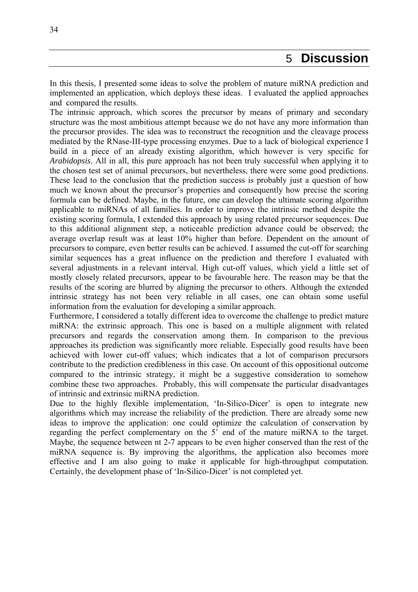<span id="page-33-0"></span>In this thesis, I presented some ideas to solve the problem of mature miRNA prediction and implemented an application, which deploys these ideas. I evaluated the applied approaches and compared the results.

The intrinsic approach, which scores the precursor by means of primary and secondary structure was the most ambitious attempt because we do not have any more information than the precursor provides. The idea was to reconstruct the recognition and the cleavage process mediated by the RNase-III-type processing enzymes. Due to a lack of biological experience I build in a piece of an already existing algorithm, which however is very specific for *Arabidopsis*. All in all, this pure approach has not been truly successful when applying it to the chosen test set of animal precursors, but nevertheless, there were some good predictions. These lead to the conclusion that the prediction success is probably just a question of how much we known about the precursor's properties and consequently how precise the scoring formula can be defined. Maybe, in the future, one can develop the ultimate scoring algorithm applicable to miRNAs of all families. In order to improve the intrinsic method despite the existing scoring formula, I extended this approach by using related precursor sequences. Due to this additional alignment step, a noticeable prediction advance could be observed; the average overlap result was at least 10% higher than before. Dependent on the amount of precursors to compare, even better results can be achieved. I assumed the cut-off for searching similar sequences has a great influence on the prediction and therefore I evaluated with several adjustments in a relevant interval. High cut-off values, which yield a little set of mostly closely related precursors, appear to be favourable here. The reason may be that the results of the scoring are blurred by aligning the precursor to others. Although the extended intrinsic strategy has not been very reliable in all cases, one can obtain some useful information from the evaluation for developing a similar approach.

Furthermore, I considered a totally different idea to overcome the challenge to predict mature miRNA: the extrinsic approach. This one is based on a multiple alignment with related precursors and regards the conservation among them. In comparison to the previous approaches its prediction was significantly more reliable. Especially good results have been achieved with lower cut-off values; which indicates that a lot of comparison precursors contribute to the prediction credibleness in this case. On account of this oppositional outcome compared to the intrinsic strategy, it might be a suggestive consideration to somehow combine these two approaches. Probably, this will compensate the particular disadvantages of intrinsic and extrinsic miRNA prediction.

Due to the highly flexible implementation, 'In-Silico-Dicer' is open to integrate new algorithms which may increase the reliability of the prediction. There are already some new ideas to improve the application: one could optimize the calculation of conservation by regarding the perfect complementary on the 5' end of the mature miRNA to the target. Maybe, the sequence between nt 2-7 appears to be even higher conserved than the rest of the miRNA sequence is. By improving the algorithms, the application also becomes more effective and I am also going to make it applicable for high-throughput computation. Certainly, the development phase of 'In-Silico-Dicer' is not completed yet.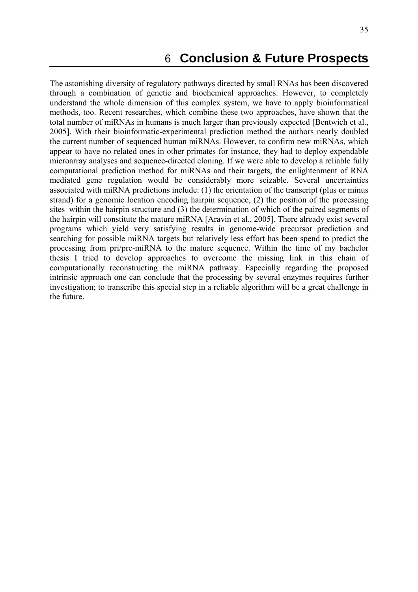## 6 **Conclusion & Future Prospects**

<span id="page-34-0"></span>The astonishing diversity of regulatory pathways directed by small RNAs has been discovered through a combination of genetic and biochemical approaches. However, to completely understand the whole dimension of this complex system, we have to apply bioinformatical methods, too. Recent researches, which combine these two approaches, have shown that the total number of miRNAs in humans is much larger than previously expected [Bentwich et al., 2005]. With their bioinformatic-experimental prediction method the authors nearly doubled the current number of sequenced human miRNAs. However, to confirm new miRNAs, which appear to have no related ones in other primates for instance, they had to deploy expendable microarray analyses and sequence-directed cloning. If we were able to develop a reliable fully computational prediction method for miRNAs and their targets, the enlightenment of RNA mediated gene regulation would be considerably more seizable. Several uncertainties associated with miRNA predictions include: (1) the orientation of the transcript (plus or minus strand) for a genomic location encoding hairpin sequence, (2) the position of the processing sites within the hairpin structure and (3) the determination of which of the paired segments of the hairpin will constitute the mature miRNA [Aravin et al., 2005]. There already exist several programs which yield very satisfying results in genome-wide precursor prediction and searching for possible miRNA targets but relatively less effort has been spend to predict the processing from pri/pre-miRNA to the mature sequence. Within the time of my bachelor thesis I tried to develop approaches to overcome the missing link in this chain of computationally reconstructing the miRNA pathway. Especially regarding the proposed intrinsic approach one can conclude that the processing by several enzymes requires further investigation; to transcribe this special step in a reliable algorithm will be a great challenge in the future.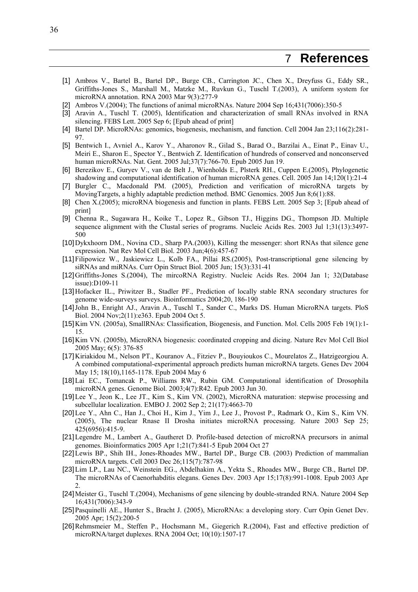- <span id="page-35-0"></span>[1] Ambros V., Bartel B., Bartel DP., Burge CB., Carrington JC., Chen X., Dreyfuss G., Eddy SR., Griffiths-Jones S., Marshall M., Matzke M., Ruvkun G., Tuschl T.(2003), A uniform system for microRNA annotation. RNA 2003 Mar 9(3):277-9
- [2] Ambros V.(2004); The functions of animal microRNAs. Nature 2004 Sep 16;431(7006):350-5
- [3] Aravin A., Tuschl T. (2005), Identification and characterization of small RNAs involved in RNA silencing. FEBS Lett. 2005 Sep 6; [Epub ahead of print]
- [4] Bartel DP. MicroRNAs: genomics, biogenesis, mechanism, and function. Cell 2004 Jan 23;116(2):281- 97.
- [5] Bentwich I., Avniel A., Karov Y., Aharonov R., Gilad S., Barad O., Barzilai A., Einat P., Einav U., Meiri E., Sharon E., Spector Y., Bentwich Z. Identification of hundreds of conserved and nonconserved human microRNAs. Nat. Gent. 2005 Jul;37(7):766-70. Epub 2005 Jun 19.
- [6] Berezikov E., Guryev V., van de Belt J., Wienholds E., Plsterk RH., Cuppen E.(2005), Phylogenetic shadowing and computational identification of human microRNA genes. Cell. 2005 Jan 14;120(1):21-4
- [7] Burgler C., Macdonald PM. (2005), Prediction and verification of microRNA targets by MovingTargets, a highly adaptable prediction method. BMC Genomics. 2005 Jun 8;6(1):88.
- [8] Chen X.(2005); microRNA biogenesis and function in plants. FEBS Lett. 2005 Sep 3; [Epub ahead of print]
- [9] Chenna R., Sugawara H., Koike T., Lopez R., Gibson TJ., Higgins DG., Thompson JD. Multiple sequence alignment with the Clustal series of programs. Nucleic Acids Res. 2003 Jul 1;31(13):3497- 500
- [10] Dykxhoorn DM., Novina CD., Sharp PA.(2003), Killing the messenger: short RNAs that silence gene expression. Nat Rev Mol Cell Biol. 2003 Jun;4(6):457-67
- [11] Filipowicz W., Jaskiewicz L., Kolb FA., Pillai RS.(2005), Post-transcriptional gene silencing by siRNAs and miRNAs. Curr Opin Struct Biol. 2005 Jun; 15(3):331-41
- [12] Griffiths-Jones S.(2004), The mircoRNA Registry. Nucleic Acids Res. 2004 Jan 1; 32(Database issue):D109-11
- [13] Hofacker IL., Priwitzer B., Stadler PF., Prediction of locally stable RNA secondary structures for genome wide-surveys surveys. Bioinformatics 2004;20, 186-190
- [14] John B., Enright AJ., Aravin A., Tuschl T., Sander C., Marks DS. Human MicroRNA targets. PloS Biol. 2004 Nov;2(11):e363. Epub 2004 Oct 5.
- [15] Kim VN. (2005a), SmallRNAs: Classification, Biogenesis, and Function. Mol. Cells 2005 Feb 19(1):1- 15.
- [16] Kim VN. (2005b), MicroRNA biogenesis: coordinated cropping and dicing. Nature Rev Mol Cell Biol 2005 May; 6(5): 376-85
- [17] Kiriakidou M., Nelson PT., Kouranov A., Fitziev P., Bouyioukos C., Mourelatos Z., Hatzigeorgiou A. A combined computational-experimental approach predicts human microRNA targets. Genes Dev 2004 May 15; 18(10),1165-1178. Epub 2004 May 6
- [18] Lai EC., Tomancak P., Williams RW., Rubin GM. Computational identification of Drosophila microRNA genes. Genome Biol. 2003;4(7):R42. Epub 2003 Jun 30.
- [19] Lee Y., Jeon K., Lee JT., Kim S., Kim VN. (2002), MicroRNA maturation: stepwise processing and subcellular localization. EMBO J. 2002 Sep 2; 21(17):4663-70
- [20] Lee Y., Ahn C., Han J., Choi H., Kim J., Yim J., Lee J., Provost P., Radmark O., Kim S., Kim VN. (2005), The nuclear Rnase II Drosha initiates microRNA processing. Nature 2003 Sep 25; 425(6956):415-9.
- [21] Legendre M., Lambert A., Gautheret D. Profile-based detection of microRNA precursors in animal genomes. Bioinformatics 2005 Apr 1;21(7):841-5 Epub 2004 Oct 27
- [22] Lewis BP., Shih IH., Jones-Rhoades MW., Bartel DP., Burge CB. (2003) Prediction of mammalian microRNA targets. Cell 2003 Dec 26;115(7):787-98
- [23] Lim LP., Lau NC., Weinstein EG., Abdelhakim A., Yekta S., Rhoades MW., Burge CB., Bartel DP. The microRNAs of Caenorhabditis elegans. Genes Dev. 2003 Apr 15;17(8):991-1008. Epub 2003 Apr  $\mathcal{L}$
- [24] Meister G., Tuschl T.(2004), Mechanisms of gene silencing by double-stranded RNA. Nature 2004 Sep 16;431(7006):343-9
- [25] Pasquinelli AE., Hunter S., Bracht J. (2005), MicroRNAs: a developing story. Curr Opin Genet Dev. 2005 Apr; 15(2):200-5
- [26] Rehmsmeier M., Steffen P., Hochsmann M., Giegerich R.(2004), Fast and effective prediction of microRNA/target duplexes. RNA 2004 Oct; 10(10):1507-17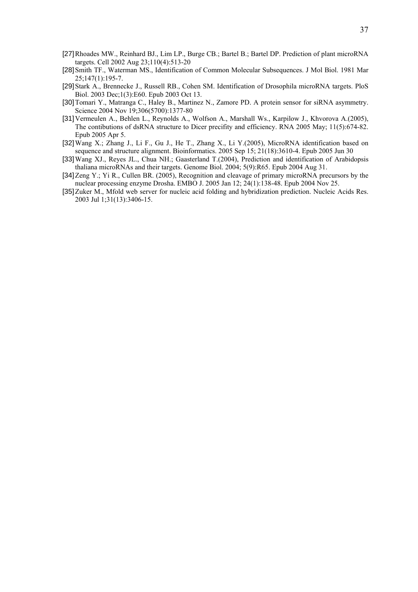- [27] Rhoades MW., Reinhard BJ., Lim LP., Burge CB.; Bartel B.; Bartel DP. Prediction of plant microRNA targets. Cell 2002 Aug 23;110(4):513-20
- [28] Smith TF., Waterman MS., Identification of Common Molecular Subsequences. J Mol Biol. 1981 Mar 25;147(1):195-7.
- [29] Stark A., Brennecke J., Russell RB., Cohen SM. Identification of Drosophila microRNA targets. PloS Biol. 2003 Dec;1(3):E60. Epub 2003 Oct 13.
- [30] Tomari Y., Matranga C., Haley B., Martinez N., Zamore PD. A protein sensor for siRNA asymmetry. Science 2004 Nov 19;306(5700):1377-80
- [31] Vermeulen A., Behlen L., Reynolds A., Wolfson A., Marshall Ws., Karpilow J., Khvorova A.(2005), The contibutions of dsRNA structure to Dicer precifity and efficiency. RNA 2005 May; 11(5):674-82. Epub 2005 Apr 5.
- [32] Wang X.; Zhang J., Li F., Gu J., He T., Zhang X., Li Y.(2005), MicroRNA identification based on sequence and structure alignment. Bioinformatics. 2005 Sep 15; 21(18):3610-4. Epub 2005 Jun 30
- [33] Wang XJ., Reyes JL., Chua NH.; Gaasterland T.(2004), Prediction and identification of Arabidopsis thaliana microRNAs and their targets. Genome Biol. 2004; 5(9):R65. Epub 2004 Aug 31.
- [34] Zeng Y.; Yi R., Cullen BR. (2005), Recognition and cleavage of primary microRNA precursors by the nuclear processing enzyme Drosha. EMBO J. 2005 Jan 12; 24(1):138-48. Epub 2004 Nov 25.
- [35] Zuker M., Mfold web server for nucleic acid folding and hybridization prediction. Nucleic Acids Res. 2003 Jul 1;31(13):3406-15.